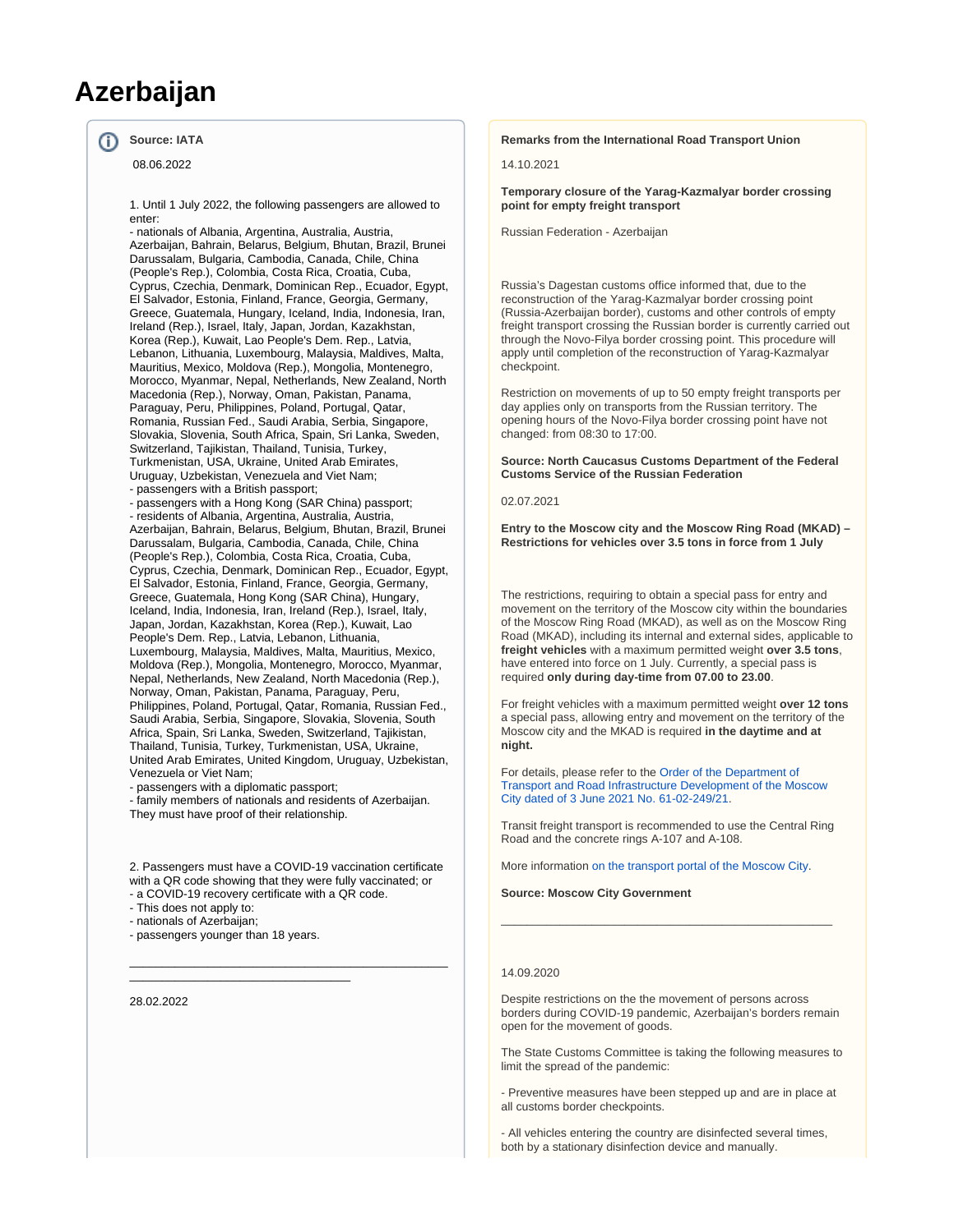# **Azerbaijan**

#### **Source: IATA** ന

08.06.2022

1. Until 1 July 2022, the following passengers are allowed to enter:

- nationals of Albania, Argentina, Australia, Austria, Azerbaijan, Bahrain, Belarus, Belgium, Bhutan, Brazil, Brunei Darussalam, Bulgaria, Cambodia, Canada, Chile, China (People's Rep.), Colombia, Costa Rica, Croatia, Cuba, Cyprus, Czechia, Denmark, Dominican Rep., Ecuador, Egypt, El Salvador, Estonia, Finland, France, Georgia, Germany, Greece, Guatemala, Hungary, Iceland, India, Indonesia, Iran, Ireland (Rep.), Israel, Italy, Japan, Jordan, Kazakhstan, Korea (Rep.), Kuwait, Lao People's Dem. Rep., Latvia, Lebanon, Lithuania, Luxembourg, Malaysia, Maldives, Malta, Mauritius, Mexico, Moldova (Rep.), Mongolia, Montenegro, Morocco, Myanmar, Nepal, Netherlands, New Zealand, North Macedonia (Rep.), Norway, Oman, Pakistan, Panama, Paraguay, Peru, Philippines, Poland, Portugal, Qatar, Romania, Russian Fed., Saudi Arabia, Serbia, Singapore, Slovakia, Slovenia, South Africa, Spain, Sri Lanka, Sweden, Switzerland, Tajikistan, Thailand, Tunisia, Turkey, Turkmenistan, USA, Ukraine, United Arab Emirates, Uruguay, Uzbekistan, Venezuela and Viet Nam; - passengers with a British passport;

- passengers with a Hong Kong (SAR China) passport; - residents of Albania, Argentina, Australia, Austria, Azerbaijan, Bahrain, Belarus, Belgium, Bhutan, Brazil, Brunei Darussalam, Bulgaria, Cambodia, Canada, Chile, China (People's Rep.), Colombia, Costa Rica, Croatia, Cuba, Cyprus, Czechia, Denmark, Dominican Rep., Ecuador, Egypt, El Salvador, Estonia, Finland, France, Georgia, Germany, Greece, Guatemala, Hong Kong (SAR China), Hungary, Iceland, India, Indonesia, Iran, Ireland (Rep.), Israel, Italy, Japan, Jordan, Kazakhstan, Korea (Rep.), Kuwait, Lao People's Dem. Rep., Latvia, Lebanon, Lithuania, Luxembourg, Malaysia, Maldives, Malta, Mauritius, Mexico, Moldova (Rep.), Mongolia, Montenegro, Morocco, Myanmar, Nepal, Netherlands, New Zealand, North Macedonia (Rep.), Norway, Oman, Pakistan, Panama, Paraguay, Peru, Philippines, Poland, Portugal, Qatar, Romania, Russian Fed., Saudi Arabia, Serbia, Singapore, Slovakia, Slovenia, South Africa, Spain, Sri Lanka, Sweden, Switzerland, Tajikistan, Thailand, Tunisia, Turkey, Turkmenistan, USA, Ukraine, United Arab Emirates, United Kingdom, Uruguay, Uzbekistan, Venezuela or Viet Nam;

- passengers with a diplomatic passport;

- family members of nationals and residents of Azerbaijan. They must have proof of their relationship.

2. Passengers must have a COVID-19 vaccination certificate with a QR code showing that they were fully vaccinated; or - a COVID-19 recovery certificate with a QR code.

\_\_\_\_\_\_\_\_\_\_\_\_\_\_\_\_\_\_\_\_\_\_\_\_\_\_\_\_\_\_\_\_\_\_\_\_\_\_\_\_\_\_\_\_\_\_\_\_\_

- This does not apply to:

- nationals of Azerbaijan;

- passengers younger than 18 years.

\_\_\_\_\_\_\_\_\_\_\_\_\_\_\_\_\_\_\_\_\_\_\_\_\_\_\_\_\_\_\_\_\_\_

28.02.2022

#### **Remarks from the International Road Transport Union**

14.10.2021

**Temporary closure of the Yarag-Kazmalyar border crossing point for empty freight transport**

Russian Federation - Azerbaijan

Russia's Dagestan customs office informed that, due to the reconstruction of the Yarag-Kazmalyar border crossing point (Russia-Azerbaijan border), customs and other controls of empty freight transport crossing the Russian border is currently carried out through the Novo-Filya border crossing point. This procedure will apply until completion of the reconstruction of Yarag-Kazmalyar checkpoint.

Restriction on movements of up to 50 empty freight transports per day applies only on transports from the Russian territory. The opening hours of the Novo-Filya border crossing point have not changed: from 08:30 to 17:00.

**Source: North Caucasus Customs Department of the Federal Customs Service of the Russian Federation**

02.07.2021

**Entry to the Moscow city and the Moscow Ring Road (MKAD) – Restrictions for vehicles over 3.5 tons in force from 1 July**

The restrictions, requiring to obtain a special pass for entry and movement on the territory of the Moscow city within the boundaries of the Moscow Ring Road (MKAD), as well as on the Moscow Ring Road (MKAD), including its internal and external sides, applicable to **freight vehicles** with a maximum permitted weight **over 3.5 tons**, have entered into force on 1 July. Currently, a special pass is required **only during day-time from 07.00 to 23.00**.

For freight vehicles with a maximum permitted weight **over 12 tons** a special pass, allowing entry and movement on the territory of the Moscow city and the MKAD is required **in the daytime and at night.**

For details, please refer to the [Order of the Department of](https://www.mos.ru/dt/documents/prikazy-i-rasporiazheniia-departamenta/view/254557220/)  [Transport and Road Infrastructure Development of the Moscow](https://www.mos.ru/dt/documents/prikazy-i-rasporiazheniia-departamenta/view/254557220/)  [City dated of 3 June 2021 No. 61-02-249/21.](https://www.mos.ru/dt/documents/prikazy-i-rasporiazheniia-departamenta/view/254557220/)

Transit freight transport is recommended to use the Central Ring Road and the concrete rings A-107 and A-108.

\_\_\_\_\_\_\_\_\_\_\_\_\_\_\_\_\_\_\_\_\_\_\_\_\_\_\_\_\_\_\_\_\_\_\_\_\_\_\_\_\_\_\_\_\_\_\_\_\_\_\_

More information [on the transport portal of the Moscow City.](https://transport.mos.ru/gruzoviki/perevod_ckad)

**Source: Moscow City Government**

## 14.09.2020

Despite restrictions on the the movement of persons across borders during COVID-19 pandemic, Azerbaijan's borders remain open for the movement of goods.

The State Customs Committee is taking the following measures to limit the spread of the pandemic:

- Preventive measures have been stepped up and are in place at all customs border checkpoints.

- All vehicles entering the country are disinfected several times, both by a stationary disinfection device and manually.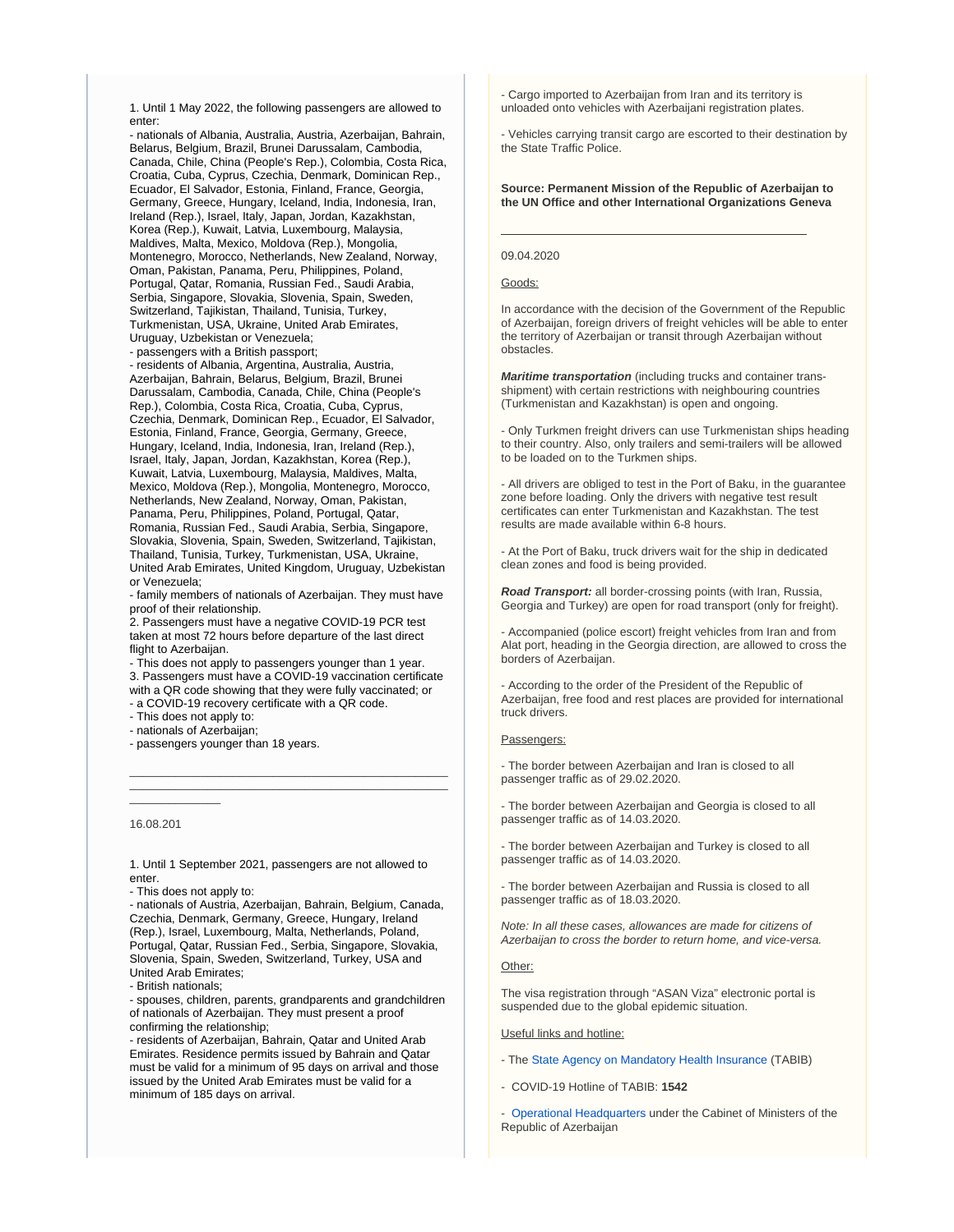1. Until 1 May 2022, the following passengers are allowed to enter:

- nationals of Albania, Australia, Austria, Azerbaijan, Bahrain, Belarus, Belgium, Brazil, Brunei Darussalam, Cambodia, Canada, Chile, China (People's Rep.), Colombia, Costa Rica, Croatia, Cuba, Cyprus, Czechia, Denmark, Dominican Rep., Ecuador, El Salvador, Estonia, Finland, France, Georgia, Germany, Greece, Hungary, Iceland, India, Indonesia, Iran, Ireland (Rep.), Israel, Italy, Japan, Jordan, Kazakhstan, Korea (Rep.), Kuwait, Latvia, Luxembourg, Malaysia, Maldives, Malta, Mexico, Moldova (Rep.), Mongolia, Montenegro, Morocco, Netherlands, New Zealand, Norway, Oman, Pakistan, Panama, Peru, Philippines, Poland, Portugal, Qatar, Romania, Russian Fed., Saudi Arabia, Serbia, Singapore, Slovakia, Slovenia, Spain, Sweden, Switzerland, Tajikistan, Thailand, Tunisia, Turkey, Turkmenistan, USA, Ukraine, United Arab Emirates, Uruguay, Uzbekistan or Venezuela;

- passengers with a British passport; - residents of Albania, Argentina, Australia, Austria,

Azerbaijan, Bahrain, Belarus, Belgium, Brazil, Brunei Darussalam, Cambodia, Canada, Chile, China (People's Rep.), Colombia, Costa Rica, Croatia, Cuba, Cyprus, Czechia, Denmark, Dominican Rep., Ecuador, El Salvador, Estonia, Finland, France, Georgia, Germany, Greece, Hungary, Iceland, India, Indonesia, Iran, Ireland (Rep.), Israel, Italy, Japan, Jordan, Kazakhstan, Korea (Rep.), Kuwait, Latvia, Luxembourg, Malaysia, Maldives, Malta, Mexico, Moldova (Rep.), Mongolia, Montenegro, Morocco, Netherlands, New Zealand, Norway, Oman, Pakistan, Panama, Peru, Philippines, Poland, Portugal, Qatar, Romania, Russian Fed., Saudi Arabia, Serbia, Singapore, Slovakia, Slovenia, Spain, Sweden, Switzerland, Tajikistan, Thailand, Tunisia, Turkey, Turkmenistan, USA, Ukraine, United Arab Emirates, United Kingdom, Uruguay, Uzbekistan or Venezuela;

- family members of nationals of Azerbaijan. They must have proof of their relationship.

2. Passengers must have a negative COVID-19 PCR test taken at most 72 hours before departure of the last direct flight to Azerbaijan.

- This does not apply to passengers younger than 1 year. 3. Passengers must have a COVID-19 vaccination certificate with a QR code showing that they were fully vaccinated; or - a COVID-19 recovery certificate with a QR code.

\_\_\_\_\_\_\_\_\_\_\_\_\_\_\_\_\_\_\_\_\_\_\_\_\_\_\_\_\_\_\_\_\_\_\_\_\_\_\_\_\_\_\_\_\_\_\_\_\_ \_\_\_\_\_\_\_\_\_\_\_\_\_\_\_\_\_\_\_\_\_\_\_\_\_\_\_\_\_\_\_\_\_\_\_\_\_\_\_\_\_\_\_\_\_\_\_\_\_

- This does not apply to:

- nationals of Azerbaijan;

- passengers younger than 18 years.

#### 16.08.201

 $\overline{\phantom{a}}$ 

1. Until 1 September 2021, passengers are not allowed to enter.

- This does not apply to:

- nationals of Austria, Azerbaijan, Bahrain, Belgium, Canada, Czechia, Denmark, Germany, Greece, Hungary, Ireland (Rep.), Israel, Luxembourg, Malta, Netherlands, Poland, Portugal, Qatar, Russian Fed., Serbia, Singapore, Slovakia, Slovenia, Spain, Sweden, Switzerland, Turkey, USA and United Arab Emirates;

- British nationals;

- spouses, children, parents, grandparents and grandchildren of nationals of Azerbaijan. They must present a proof confirming the relationship;

- residents of Azerbaijan, Bahrain, Qatar and United Arab Emirates. Residence permits issued by Bahrain and Qatar must be valid for a minimum of 95 days on arrival and those issued by the United Arab Emirates must be valid for a minimum of 185 days on arrival.

- Cargo imported to Azerbaijan from Iran and its territory is unloaded onto vehicles with Azerbaijani registration plates.

- Vehicles carrying transit cargo are escorted to their destination by the State Traffic Police.

#### **Source: Permanent Mission of the Republic of Azerbaijan to the UN Office and other International Organizations Geneva**

#### 09.04.2020

#### Goods:

In accordance with the decision of the Government of the Republic of Azerbaijan, foreign drivers of freight vehicles will be able to enter the territory of Azerbaijan or transit through Azerbaijan without obstacles.

**Maritime transportation** (including trucks and container transshipment) with certain restrictions with neighbouring countries (Turkmenistan and Kazakhstan) is open and ongoing.

- Only Turkmen freight drivers can use Turkmenistan ships heading to their country. Also, only trailers and semi-trailers will be allowed to be loaded on to the Turkmen ships.

- All drivers are obliged to test in the Port of Baku, in the guarantee zone before loading. Only the drivers with negative test result certificates can enter Turkmenistan and Kazakhstan. The test results are made available within 6-8 hours.

- At the Port of Baku, truck drivers wait for the ship in dedicated clean zones and food is being provided.

**Road Transport:** all border-crossing points (with Iran, Russia, Georgia and Turkey) are open for road transport (only for freight).

- Accompanied (police escort) freight vehicles from Iran and from Alat port, heading in the Georgia direction, are allowed to cross the borders of Azerbaijan.

- According to the order of the President of the Republic of Azerbaijan, free food and rest places are provided for international truck drivers.

#### Passengers:

- The border between Azerbaijan and Iran is closed to all passenger traffic as of 29.02.2020.

- The border between Azerbaijan and Georgia is closed to all passenger traffic as of 14.03.2020.

- The border between Azerbaijan and Turkey is closed to all passenger traffic as of 14.03.2020.

- The border between Azerbaijan and Russia is closed to all passenger traffic as of 18.03.2020.

Note: In all these cases, allowances are made for citizens of Azerbaijan to cross the border to return home, and vice-versa.

#### Other:

The visa registration through "ASAN Viza" electronic portal is suspended due to the global epidemic situation.

Useful links and hotline:

- The [State Agency on Mandatory Health Insurance](https://its.gov.az/page/general-situation-in-the-country) (TABIB)
- COVID-19 Hotline of TABIB: **1542**
- [Operational Headquarters](https://nk.gov.az/en/) under the Cabinet of Ministers of the Republic of Azerbaijan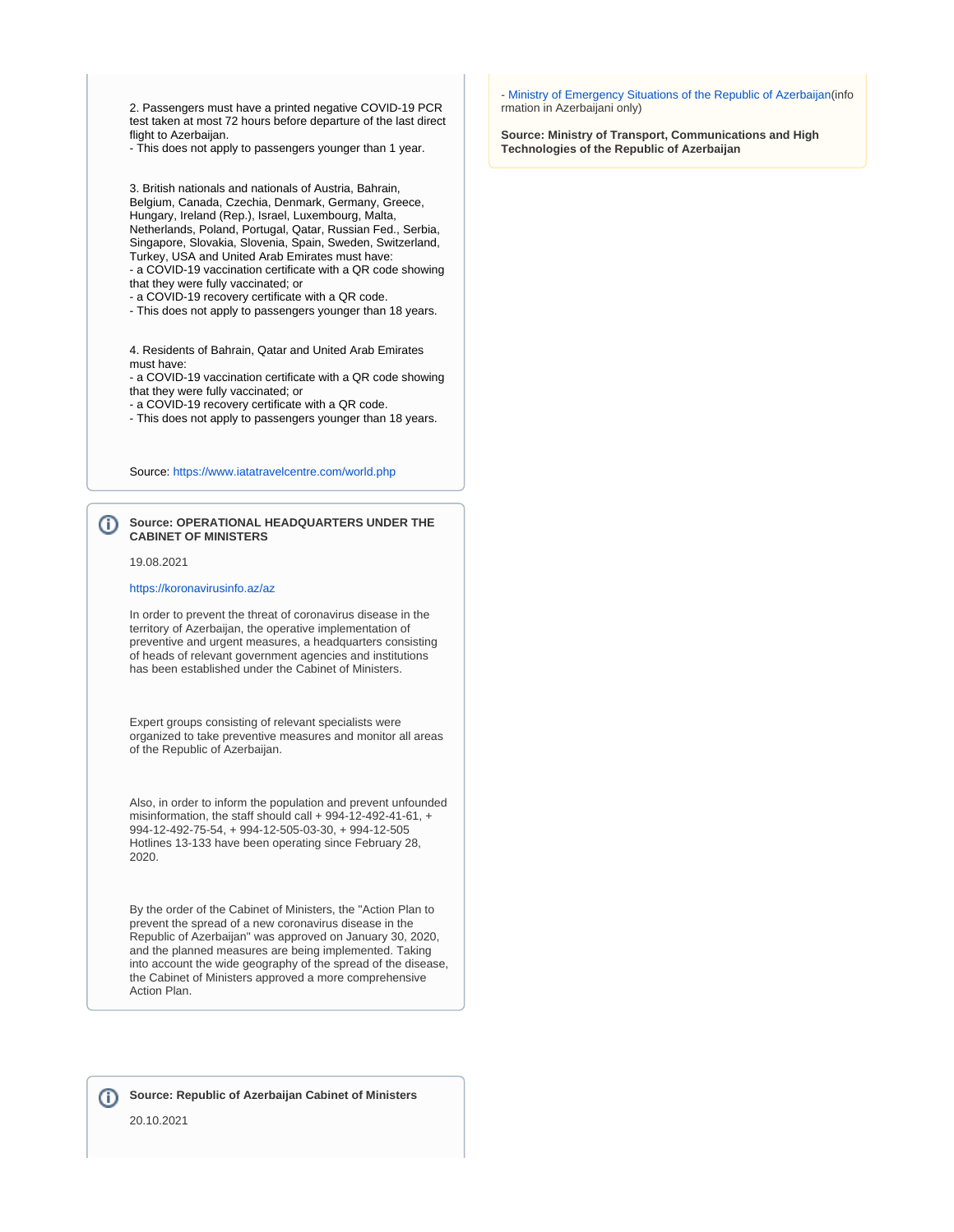2. Passengers must have a printed negative COVID-19 PCR test taken at most 72 hours before departure of the last direct flight to Azerbaijan.

- This does not apply to passengers younger than 1 year.

3. British nationals and nationals of Austria, Bahrain, Belgium, Canada, Czechia, Denmark, Germany, Greece, Hungary, Ireland (Rep.), Israel, Luxembourg, Malta, Netherlands, Poland, Portugal, Qatar, Russian Fed., Serbia, Singapore, Slovakia, Slovenia, Spain, Sweden, Switzerland, Turkey, USA and United Arab Emirates must have: - a COVID-19 vaccination certificate with a QR code showing

that they were fully vaccinated; or

- a COVID-19 recovery certificate with a QR code.

- This does not apply to passengers younger than 18 years.

4. Residents of Bahrain, Qatar and United Arab Emirates must have:

- a COVID-19 vaccination certificate with a QR code showing that they were fully vaccinated; or

- a COVID-19 recovery certificate with a QR code.
- This does not apply to passengers younger than 18 years.

Source:<https://www.iatatravelcentre.com/world.php>

#### **Source: OPERATIONAL HEADQUARTERS UNDER THE**  (i) **CABINET OF MINISTERS**

19.08.2021

#### <https://koronavirusinfo.az/az>

In order to prevent the threat of coronavirus disease in the territory of Azerbaijan, the operative implementation of preventive and urgent measures, a headquarters consisting of heads of relevant government agencies and institutions has been established under the Cabinet of Ministers.

Expert groups consisting of relevant specialists were organized to take preventive measures and monitor all areas of the Republic of Azerbaijan.

Also, in order to inform the population and prevent unfounded misinformation, the staff should call + 994-12-492-41-61, + 994-12-492-75-54, + 994-12-505-03-30, + 994-12-505 Hotlines 13-133 have been operating since February 28, 2020.

By the order of the Cabinet of Ministers, the "Action Plan to prevent the spread of a new coronavirus disease in the Republic of Azerbaijan" was approved on January 30, 2020, and the planned measures are being implemented. Taking into account the wide geography of the spread of the disease, the Cabinet of Ministers approved a more comprehensive Action Plan.

**Source: Republic of Azerbaijan Cabinet of Ministers** 

20.10.2021

- [Ministry of Emergency Situations of the Republic of Azerbaijan\(](http://www.koronavirusinfo.az/)info rmation in Azerbaijani only)

**Source: Ministry of Transport, Communications and High Technologies of the Republic of Azerbaijan**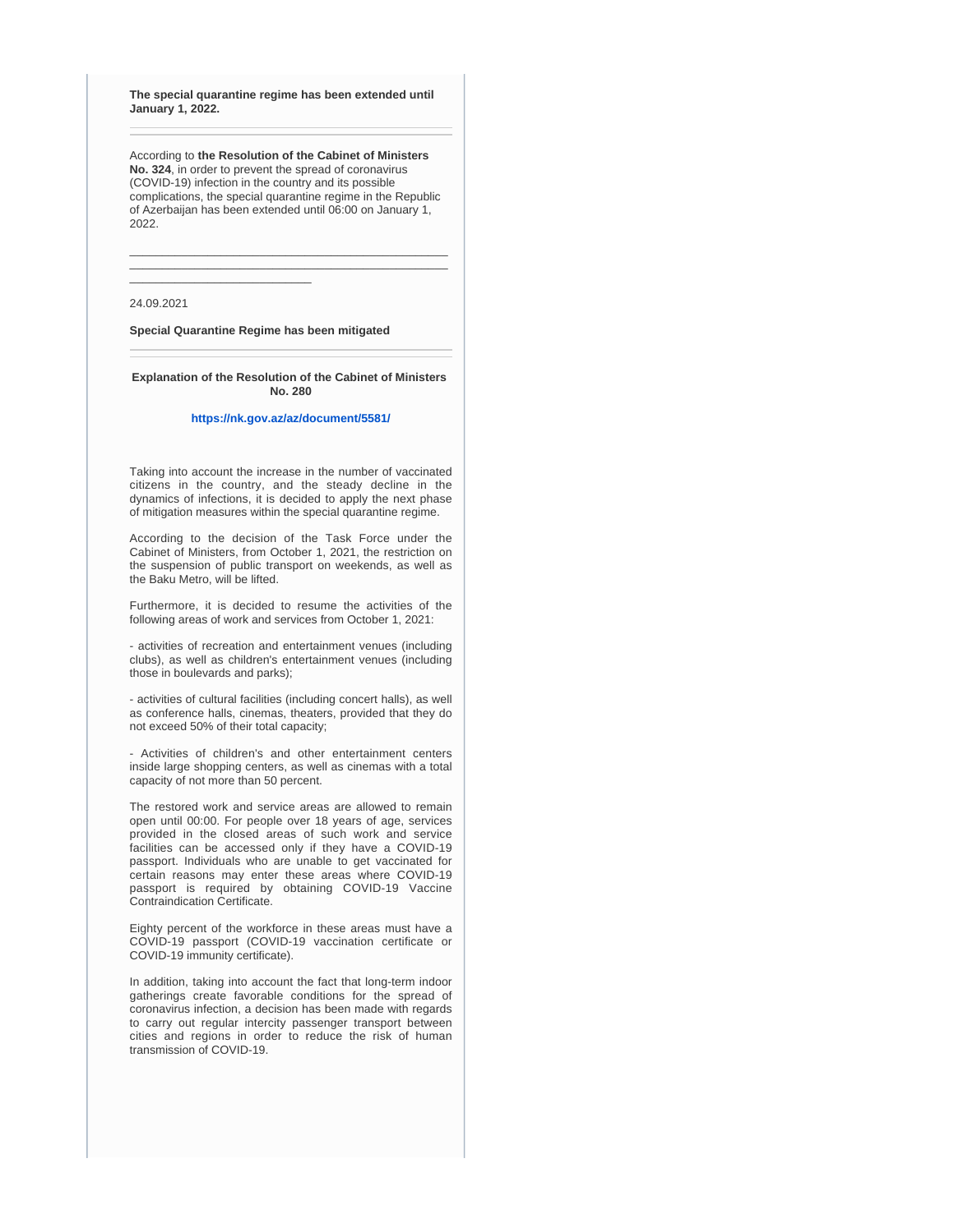**The special quarantine regime has been extended until January 1, 2022.**

According to **the Resolution of the Cabinet of Ministers No. 324**, in order to prevent the spread of coronavirus (COVID-19) infection in the country and its possible complications, the special quarantine regime in the Republic of Azerbaijan has been extended until 06:00 on January 1, 2022.

\_\_\_\_\_\_\_\_\_\_\_\_\_\_\_\_\_\_\_\_\_\_\_\_\_\_\_\_\_\_\_\_\_\_\_\_\_\_\_\_\_\_\_\_\_\_\_\_\_ \_\_\_\_\_\_\_\_\_\_\_\_\_\_\_\_\_\_\_\_\_\_\_\_\_\_\_\_\_\_\_\_\_\_\_\_\_\_\_\_\_\_\_\_\_\_\_\_\_

24.09.2021

**Special Quarantine Regime has been mitigated**

\_\_\_\_\_\_\_\_\_\_\_\_\_\_\_\_\_\_\_\_\_\_\_\_\_\_\_\_

**Explanation of the Resolution of the Cabinet of Ministers No. 280**

#### **<https://nk.gov.az/az/document/5581/>**

Taking into account the increase in the number of vaccinated citizens in the country, and the steady decline in the dynamics of infections, it is decided to apply the next phase of mitigation measures within the special quarantine regime.

According to the decision of the Task Force under the Cabinet of Ministers, from October 1, 2021, the restriction on the suspension of public transport on weekends, as well as the Baku Metro, will be lifted.

Furthermore, it is decided to resume the activities of the following areas of work and services from October 1, 2021:

- activities of recreation and entertainment venues (including clubs), as well as children's entertainment venues (including those in boulevards and parks);

- activities of cultural facilities (including concert halls), as well as conference halls, cinemas, theaters, provided that they do not exceed 50% of their total capacity;

- Activities of children's and other entertainment centers inside large shopping centers, as well as cinemas with a total capacity of not more than 50 percent.

The restored work and service areas are allowed to remain open until 00:00. For people over 18 years of age, services provided in the closed areas of such work and service facilities can be accessed only if they have a COVID-19 passport. Individuals who are unable to get vaccinated for certain reasons may enter these areas where COVID-19 passport is required by obtaining COVID-19 Vaccine Contraindication Certificate.

Eighty percent of the workforce in these areas must have a COVID-19 passport (COVID-19 vaccination certificate or COVID-19 immunity certificate).

In addition, taking into account the fact that long-term indoor gatherings create favorable conditions for the spread of coronavirus infection, a decision has been made with regards to carry out regular intercity passenger transport between cities and regions in order to reduce the risk of human transmission of COVID-19.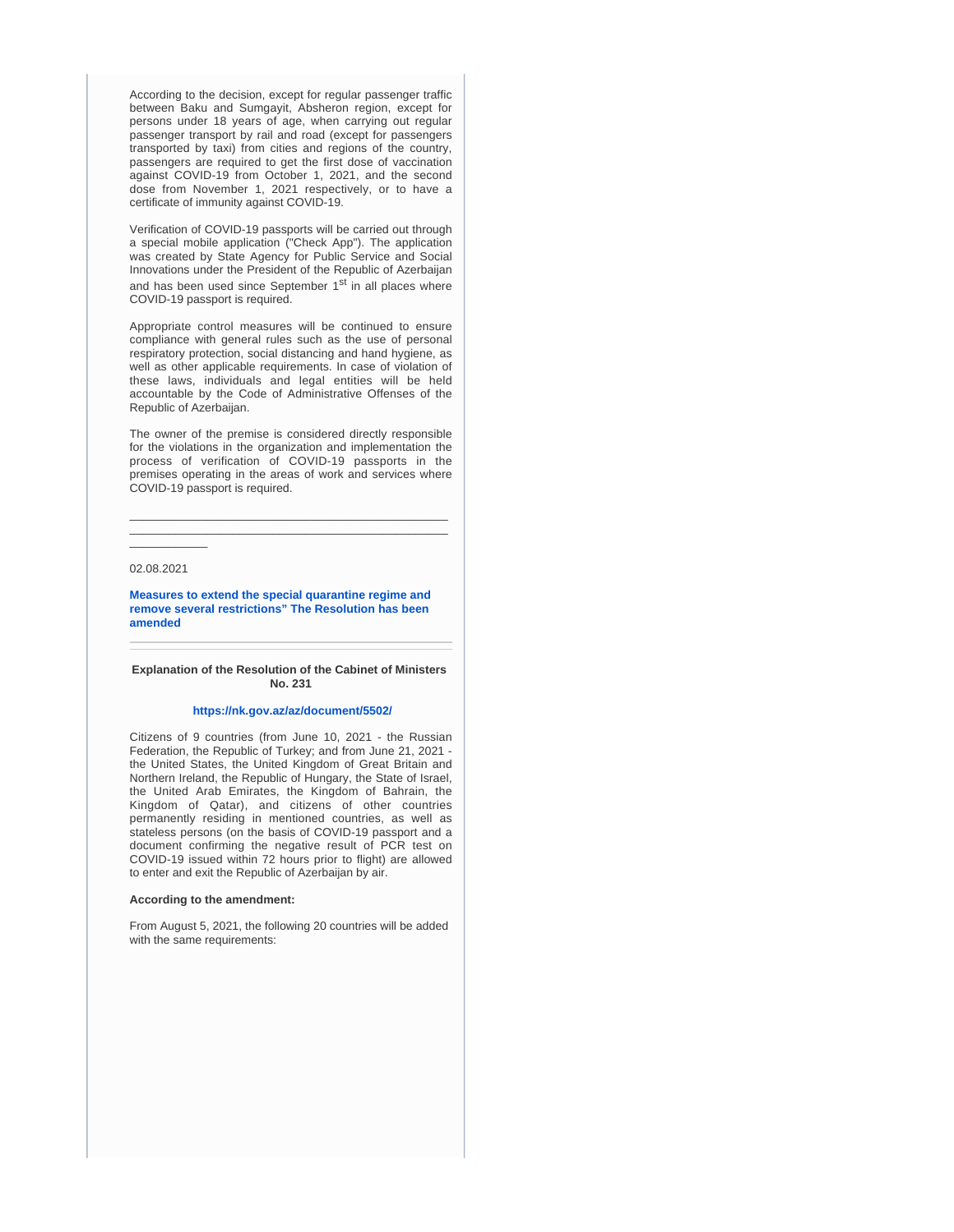According to the decision, except for regular passenger traffic between Baku and Sumgayit, Absheron region, except for persons under 18 years of age, when carrying out regular passenger transport by rail and road (except for passengers transported by taxi) from cities and regions of the country, passengers are required to get the first dose of vaccination against COVID-19 from October 1, 2021, and the second dose from November 1, 2021 respectively, or to have a certificate of immunity against COVID-19.

Verification of COVID-19 passports will be carried out through a special mobile application ("Check App"). The application was created by State Agency for Public Service and Social Innovations under the President of the Republic of Azerbaijan and has been used since September 1<sup>st</sup> in all places where COVID-19 passport is required.

Appropriate control measures will be continued to ensure compliance with general rules such as the use of personal respiratory protection, social distancing and hand hygiene, as well as other applicable requirements. In case of violation of these laws, individuals and legal entities will be held accountable by the Code of Administrative Offenses of the Republic of Azerbaijan.

The owner of the premise is considered directly responsible for the violations in the organization and implementation the process of verification of COVID-19 passports in the premises operating in the areas of work and services where COVID-19 passport is required.

\_\_\_\_\_\_\_\_\_\_\_\_\_\_\_\_\_\_\_\_\_\_\_\_\_\_\_\_\_\_\_\_\_\_\_\_\_\_\_\_\_\_\_\_\_\_\_\_\_ \_\_\_\_\_\_\_\_\_\_\_\_\_\_\_\_\_\_\_\_\_\_\_\_\_\_\_\_\_\_\_\_\_\_\_\_\_\_\_\_\_\_\_\_\_\_\_\_\_

02.08.2021

\_\_\_\_\_\_\_\_\_\_\_\_

**[Measures to extend the special quarantine regime and](https://nk.gov.az/az/article/1754/)  [remove several restrictions" The Resolution has been](https://nk.gov.az/az/article/1754/)  [amended](https://nk.gov.az/az/article/1754/)**

#### **Explanation of the Resolution of the Cabinet of Ministers No. 231**

#### **<https://nk.gov.az/az/document/5502/>**

Citizens of 9 countries (from June 10, 2021 - the Russian Federation, the Republic of Turkey; and from June 21, 2021 the United States, the United Kingdom of Great Britain and Northern Ireland, the Republic of Hungary, the State of Israel, the United Arab Emirates, the Kingdom of Bahrain, the Kingdom of Qatar), and citizens of other countries permanently residing in mentioned countries, as well as stateless persons (on the basis of COVID-19 passport and a document confirming the negative result of PCR test on COVID-19 issued within 72 hours prior to flight) are allowed to enter and exit the Republic of Azerbaijan by air.

#### **According to the amendment:**

From August 5, 2021, the following 20 countries will be added with the same requirements: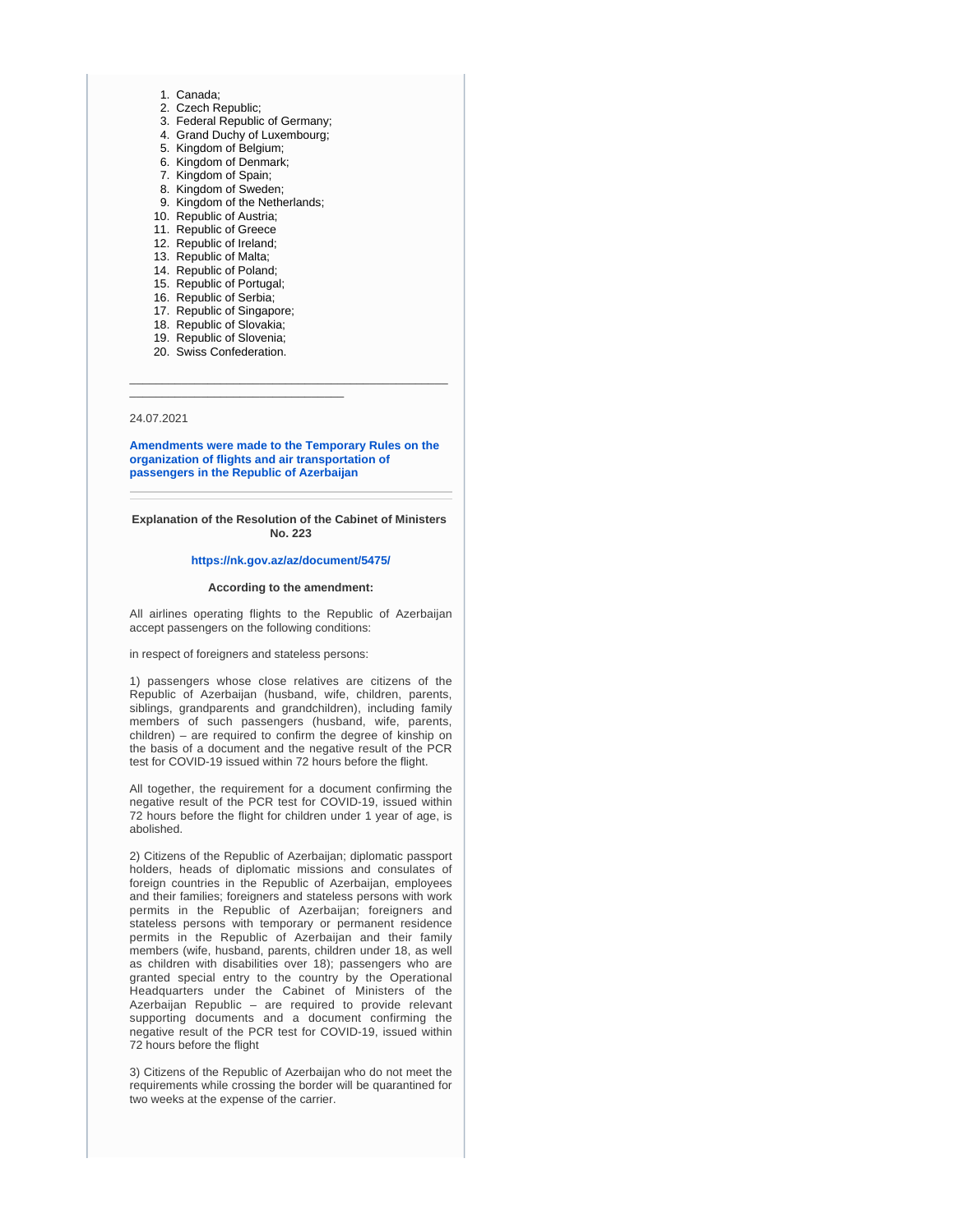- 1. Canada;
- 2. Czech Republic;
- 3. Federal Republic of Germany;
- 4. Grand Duchy of Luxembourg;
- 5. Kingdom of Belgium; 6. Kingdom of Denmark;
- 7. Kingdom of Spain;
- 8. Kingdom of Sweden;
- 9. Kingdom of the Netherlands;
- 10. Republic of Austria;
- 11. Republic of Greece
- 12. Republic of Ireland;
- 13. Republic of Malta;
- 14. Republic of Poland;
- 15. Republic of Portugal;
- 16. Republic of Serbia;
- 17. Republic of Singapore;
- 18. Republic of Slovakia; 19. Republic of Slovenia;
- 20. Swiss Confederation.

\_\_\_\_\_\_\_\_\_\_\_\_\_\_\_\_\_\_\_\_\_\_\_\_\_\_\_\_\_\_\_\_\_

#### 24.07.2021

**[Amendments were made to the Temporary Rules on the](https://nk.gov.az/en/article/1720/)  [organization of flights and air transportation of](https://nk.gov.az/en/article/1720/)  [passengers in the Republic of Azerbaijan](https://nk.gov.az/en/article/1720/)**

\_\_\_\_\_\_\_\_\_\_\_\_\_\_\_\_\_\_\_\_\_\_\_\_\_\_\_\_\_\_\_\_\_\_\_\_\_\_\_\_\_\_\_\_\_\_\_\_\_

**Explanation of the Resolution of the Cabinet of Ministers No. 223**

#### **<https://nk.gov.az/az/document/5475/>**

#### **According to the amendment:**

All airlines operating flights to the Republic of Azerbaijan accept passengers on the following conditions:

in respect of foreigners and stateless persons:

1) passengers whose close relatives are citizens of the Republic of Azerbaijan (husband, wife, children, parents, siblings, grandparents and grandchildren), including family members of such passengers (husband, wife, parents, children) – are required to confirm the degree of kinship on the basis of a document and the negative result of the PCR test for COVID-19 issued within 72 hours before the flight.

All together, the requirement for a document confirming the negative result of the PCR test for COVID-19, issued within 72 hours before the flight for children under 1 year of age, is abolished.

2) Citizens of the Republic of Azerbaijan; diplomatic passport holders, heads of diplomatic missions and consulates of foreign countries in the Republic of Azerbaijan, employees and their families; foreigners and stateless persons with work permits in the Republic of Azerbaijan; foreigners and stateless persons with temporary or permanent residence permits in the Republic of Azerbaijan and their family members (wife, husband, parents, children under 18, as well as children with disabilities over 18); passengers who are granted special entry to the country by the Operational Headquarters under the Cabinet of Ministers of the Azerbaijan Republic – are required to provide relevant supporting documents and a document confirming the negative result of the PCR test for COVID-19, issued within 72 hours before the flight

3) Citizens of the Republic of Azerbaijan who do not meet the requirements while crossing the border will be quarantined for two weeks at the expense of the carrier.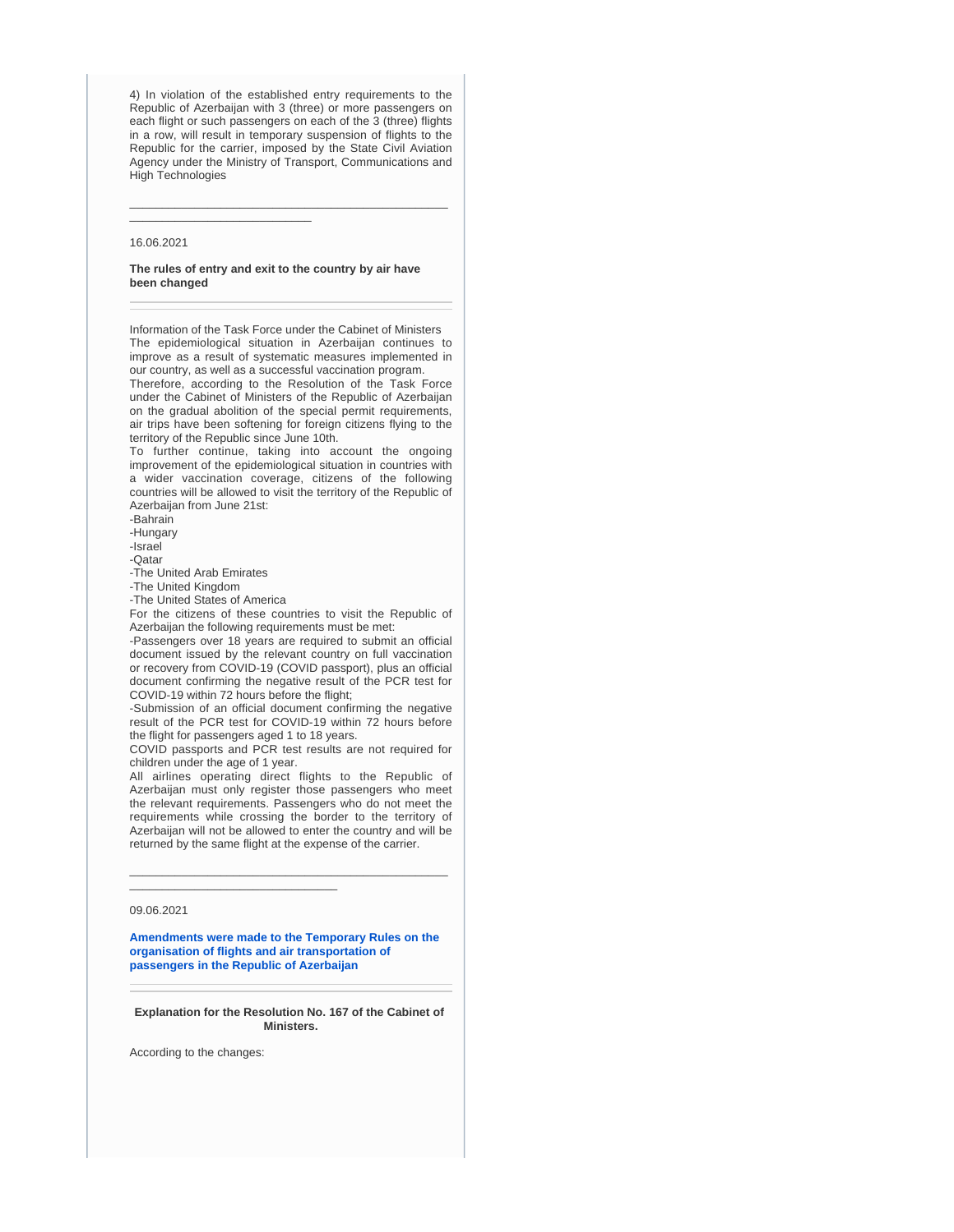4) In violation of the established entry requirements to the Republic of Azerbaijan with 3 (three) or more passengers on each flight or such passengers on each of the 3 (three) flights in a row, will result in temporary suspension of flights to the Republic for the carrier, imposed by the State Civil Aviation Agency under the Ministry of Transport, Communications and High Technologies

\_\_\_\_\_\_\_\_\_\_\_\_\_\_\_\_\_\_\_\_\_\_\_\_\_\_\_\_\_\_\_\_\_\_\_\_\_\_\_\_\_\_\_\_\_\_\_\_\_

#### 16.06.2021

\_\_\_\_\_\_\_\_\_\_\_\_\_\_\_\_\_\_\_\_\_\_\_\_\_\_\_\_

#### **The rules of entry and exit to the country by air have been changed**

Information of the Task Force under the Cabinet of Ministers The epidemiological situation in Azerbaijan continues to improve as a result of systematic measures implemented in our country, as well as a successful vaccination program.

Therefore, according to the Resolution of the Task Force under the Cabinet of Ministers of the Republic of Azerbaijan on the gradual abolition of the special permit requirements, air trips have been softening for foreign citizens flying to the territory of the Republic since June 10th.

To further continue, taking into account the ongoing improvement of the epidemiological situation in countries with a wider vaccination coverage, citizens of the following countries will be allowed to visit the territory of the Republic of Azerbaijan from June 21st:

-Bahrain

-Hungary

-Israel

-Qatar

-The United Arab Emirates

-The United Kingdom -The United States of America

For the citizens of these countries to visit the Republic of Azerbaijan the following requirements must be met:

-Passengers over 18 years are required to submit an official document issued by the relevant country on full vaccination or recovery from COVID-19 (COVID passport), plus an official document confirming the negative result of the PCR test for COVID-19 within 72 hours before the flight;

-Submission of an official document confirming the negative result of the PCR test for COVID-19 within 72 hours before the flight for passengers aged 1 to 18 years.

COVID passports and PCR test results are not required for children under the age of 1 year.

All airlines operating direct flights to the Republic of Azerbaijan must only register those passengers who meet the relevant requirements. Passengers who do not meet the requirements while crossing the border to the territory of Azerbaijan will not be allowed to enter the country and will be returned by the same flight at the expense of the carrier.

\_\_\_\_\_\_\_\_\_\_\_\_\_\_\_\_\_\_\_\_\_\_\_\_\_\_\_\_\_\_\_\_\_\_\_\_\_\_\_\_\_\_\_\_\_\_\_\_\_

\_\_\_\_\_\_\_\_\_\_\_\_\_\_\_\_\_\_\_\_\_\_\_\_\_\_\_\_\_\_\_\_

#### 09.06.2021

**[Amendments were made to the Temporary Rules on the](https://nk.gov.az/az/article/1754/)  [organisation of flights and air transportation of](https://nk.gov.az/az/article/1754/)  [passengers in the Republic of Azerbaijan](https://nk.gov.az/az/article/1754/)**

**Explanation for the Resolution No. 167 of the Cabinet of Ministers.**

According to the changes: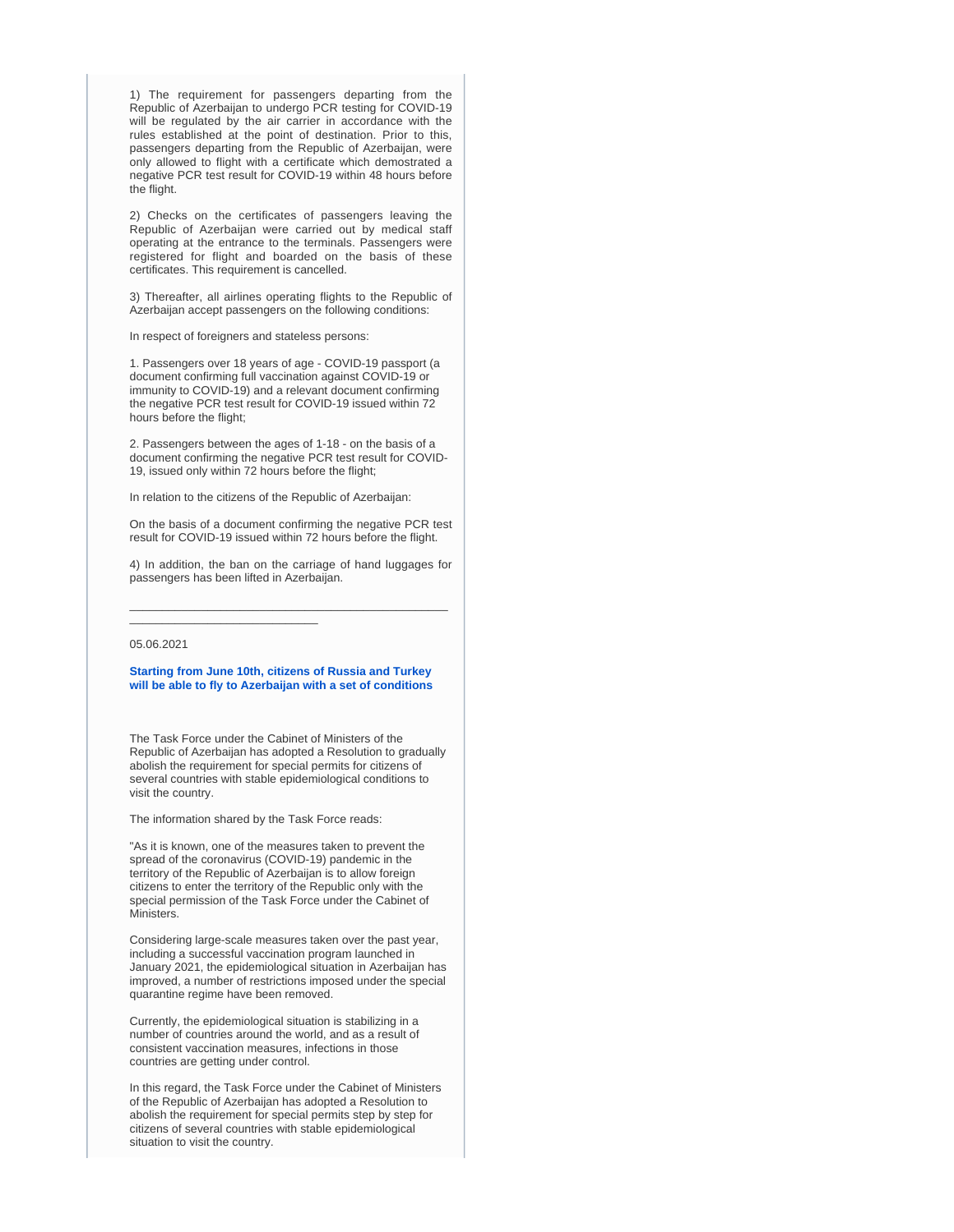1) The requirement for passengers departing from the Republic of Azerbaijan to undergo PCR testing for COVID-19 will be regulated by the air carrier in accordance with the rules established at the point of destination. Prior to this, passengers departing from the Republic of Azerbaijan, were only allowed to flight with a certificate which demostrated a negative PCR test result for COVID-19 within 48 hours before the flight.

2) Checks on the certificates of passengers leaving the Republic of Azerbaijan were carried out by medical staff operating at the entrance to the terminals. Passengers were registered for flight and boarded on the basis of these certificates. This requirement is cancelled.

3) Thereafter, all airlines operating flights to the Republic of Azerbaijan accept passengers on the following conditions:

In respect of foreigners and stateless persons:

1. Passengers over 18 years of age - COVID-19 passport (a document confirming full vaccination against COVID-19 or immunity to COVID-19) and a relevant document confirming the negative PCR test result for COVID-19 issued within 72 hours before the flight;

2. Passengers between the ages of 1-18 - on the basis of a document confirming the negative PCR test result for COVID-19, issued only within 72 hours before the flight;

In relation to the citizens of the Republic of Azerbaijan:

On the basis of a document confirming the negative PCR test result for COVID-19 issued within 72 hours before the flight.

4) In addition, the ban on the carriage of hand luggages for passengers has been lifted in Azerbaijan.

\_\_\_\_\_\_\_\_\_\_\_\_\_\_\_\_\_\_\_\_\_\_\_\_\_\_\_\_\_\_\_\_\_\_\_\_\_\_\_\_\_\_\_\_\_\_\_\_\_

\_\_\_\_\_\_\_\_\_\_\_\_\_\_\_\_\_\_\_\_\_\_\_\_\_\_\_\_\_

#### 05.06.2021

**[Starting from June 10th, citizens of Russia and Turkey](https://nk.gov.az/en/article/1618/)  [will be able to fly to Azerbaijan with a set of conditions](https://nk.gov.az/en/article/1618/)**

The Task Force under the Cabinet of Ministers of the Republic of Azerbaijan has adopted a Resolution to gradually abolish the requirement for special permits for citizens of several countries with stable epidemiological conditions to visit the country.

The information shared by the Task Force reads:

"As it is known, one of the measures taken to prevent the spread of the coronavirus (COVID-19) pandemic in the territory of the Republic of Azerbaijan is to allow foreign citizens to enter the territory of the Republic only with the special permission of the Task Force under the Cabinet of Ministers.

Considering large-scale measures taken over the past year, including a successful vaccination program launched in January 2021, the epidemiological situation in Azerbaijan has improved, a number of restrictions imposed under the special quarantine regime have been removed.

Currently, the epidemiological situation is stabilizing in a number of countries around the world, and as a result of consistent vaccination measures, infections in those countries are getting under control.

In this regard, the Task Force under the Cabinet of Ministers of the Republic of Azerbaijan has adopted a Resolution to abolish the requirement for special permits step by step for citizens of several countries with stable epidemiological situation to visit the country.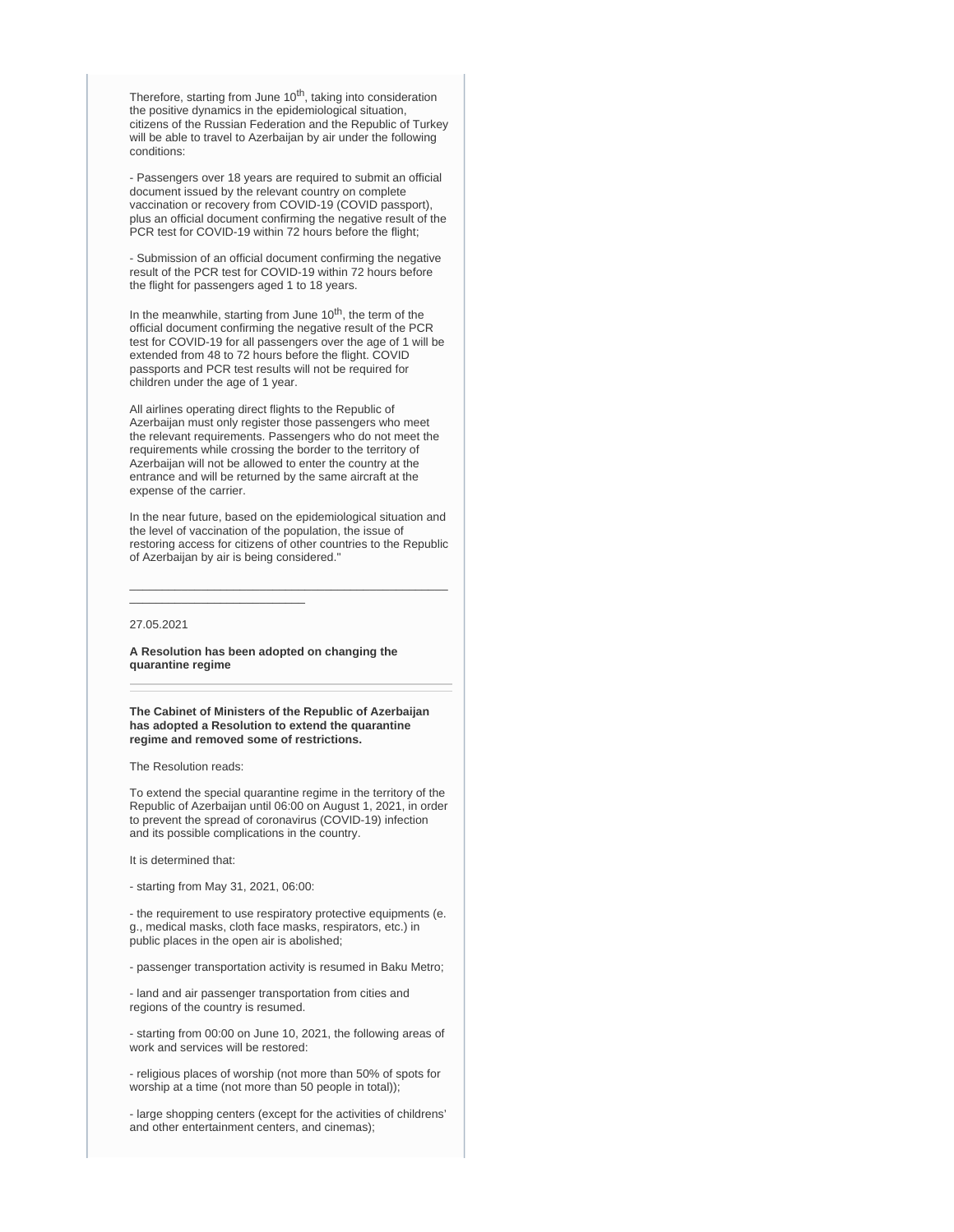Therefore, starting from June 10<sup>th</sup>, taking into consideration the positive dynamics in the epidemiological situation, citizens of the Russian Federation and the Republic of Turkey will be able to travel to Azerbaijan by air under the following conditions:

- Passengers over 18 years are required to submit an official document issued by the relevant country on complete vaccination or recovery from COVID-19 (COVID passport), plus an official document confirming the negative result of the PCR test for COVID-19 within 72 hours before the flight;

- Submission of an official document confirming the negative result of the PCR test for COVID-19 within 72 hours before the flight for passengers aged 1 to 18 years.

In the meanwhile, starting from June  $10<sup>th</sup>$ , the term of the official document confirming the negative result of the PCR test for COVID-19 for all passengers over the age of 1 will be extended from 48 to 72 hours before the flight. COVID passports and PCR test results will not be required for children under the age of 1 year.

All airlines operating direct flights to the Republic of Azerbaijan must only register those passengers who meet the relevant requirements. Passengers who do not meet the requirements while crossing the border to the territory of Azerbaijan will not be allowed to enter the country at the entrance and will be returned by the same aircraft at the expense of the carrier.

In the near future, based on the epidemiological situation and the level of vaccination of the population, the issue of restoring access for citizens of other countries to the Republic of Azerbaijan by air is being considered."

\_\_\_\_\_\_\_\_\_\_\_\_\_\_\_\_\_\_\_\_\_\_\_\_\_\_\_\_\_\_\_\_\_\_\_\_\_\_\_\_\_\_\_\_\_\_\_\_\_

#### 27.05.2021

**A Resolution has been adopted on changing the quarantine regime**

\_\_\_\_\_\_\_\_\_\_\_\_\_\_\_\_\_\_\_\_\_\_\_\_\_\_\_

**The Cabinet of Ministers of the Republic of Azerbaijan has adopted a Resolution to extend the quarantine regime and removed some of restrictions.**

The Resolution reads:

To extend the special quarantine regime in the territory of the Republic of Azerbaijan until 06:00 on August 1, 2021, in order to prevent the spread of coronavirus (COVID-19) infection and its possible complications in the country.

It is determined that:

- starting from May 31, 2021, 06:00:

- the requirement to use respiratory protective equipments (e. g., medical masks, cloth face masks, respirators, etc.) in public places in the open air is abolished;

- passenger transportation activity is resumed in Baku Metro;

- land and air passenger transportation from cities and regions of the country is resumed.

- starting from 00:00 on June 10, 2021, the following areas of work and services will be restored:

- religious places of worship (not more than 50% of spots for worship at a time (not more than 50 people in total));

- large shopping centers (except for the activities of childrens' and other entertainment centers, and cinemas);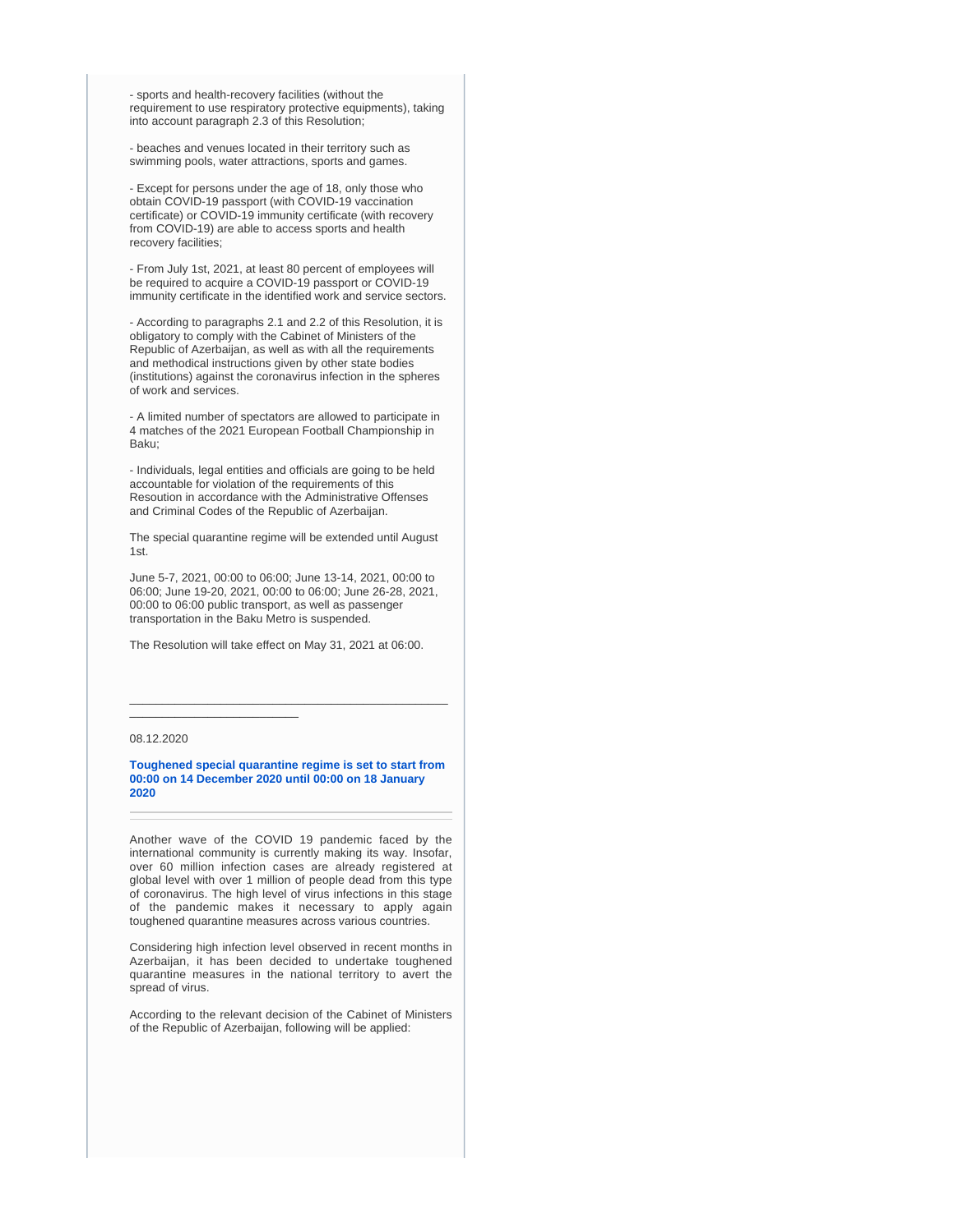- sports and health-recovery facilities (without the requirement to use respiratory protective equipments), taking into account paragraph 2.3 of this Resolution;

- beaches and venues located in their territory such as swimming pools, water attractions, sports and games.

- Except for persons under the age of 18, only those who obtain COVID-19 passport (with COVID-19 vaccination certificate) or COVID-19 immunity certificate (with recovery from COVID-19) are able to access sports and health recovery facilities;

- From July 1st, 2021, at least 80 percent of employees will be required to acquire a COVID-19 passport or COVID-19 immunity certificate in the identified work and service sectors.

- According to paragraphs 2.1 and 2.2 of this Resolution, it is obligatory to comply with the Cabinet of Ministers of the Republic of Azerbaijan, as well as with all the requirements and methodical instructions given by other state bodies (institutions) against the coronavirus infection in the spheres of work and services.

- A limited number of spectators are allowed to participate in 4 matches of the 2021 European Football Championship in Baku;

- Individuals, legal entities and officials are going to be held accountable for violation of the requirements of this Resoution in accordance with the Administrative Offenses and Criminal Codes of the Republic of Azerbaijan.

The special quarantine regime will be extended until August 1st.

June 5-7, 2021, 00:00 to 06:00; June 13-14, 2021, 00:00 to 06:00; June 19-20, 2021, 00:00 to 06:00; June 26-28, 2021, 00:00 to 06:00 public transport, as well as passenger transportation in the Baku Metro is suspended.

The Resolution will take effect on May 31, 2021 at 06:00.

#### 08.12.2020

\_\_\_\_\_\_\_\_\_\_\_\_\_\_\_\_\_\_\_\_\_\_\_\_\_\_

#### **[Toughened special quarantine regime is set to start from](https://nk.gov.az/en/article/1263/)  [00:00 on 14 December 2020 until 00:00 on 18 January](https://nk.gov.az/en/article/1263/)  [2020](https://nk.gov.az/en/article/1263/)**

\_\_\_\_\_\_\_\_\_\_\_\_\_\_\_\_\_\_\_\_\_\_\_\_\_\_\_\_\_\_\_\_\_\_\_\_\_\_\_\_\_\_\_\_\_\_\_\_\_

Another wave of the COVID 19 pandemic faced by the international community is currently making its way. Insofar, over 60 million infection cases are already registered at global level with over 1 million of people dead from this type of coronavirus. The high level of virus infections in this stage of the pandemic makes it necessary to apply again toughened quarantine measures across various countries.

Considering high infection level observed in recent months in Azerbaijan, it has been decided to undertake toughened quarantine measures in the national territory to avert the spread of virus.

According to the relevant decision of the Cabinet of Ministers of the Republic of Azerbaijan, following will be applied: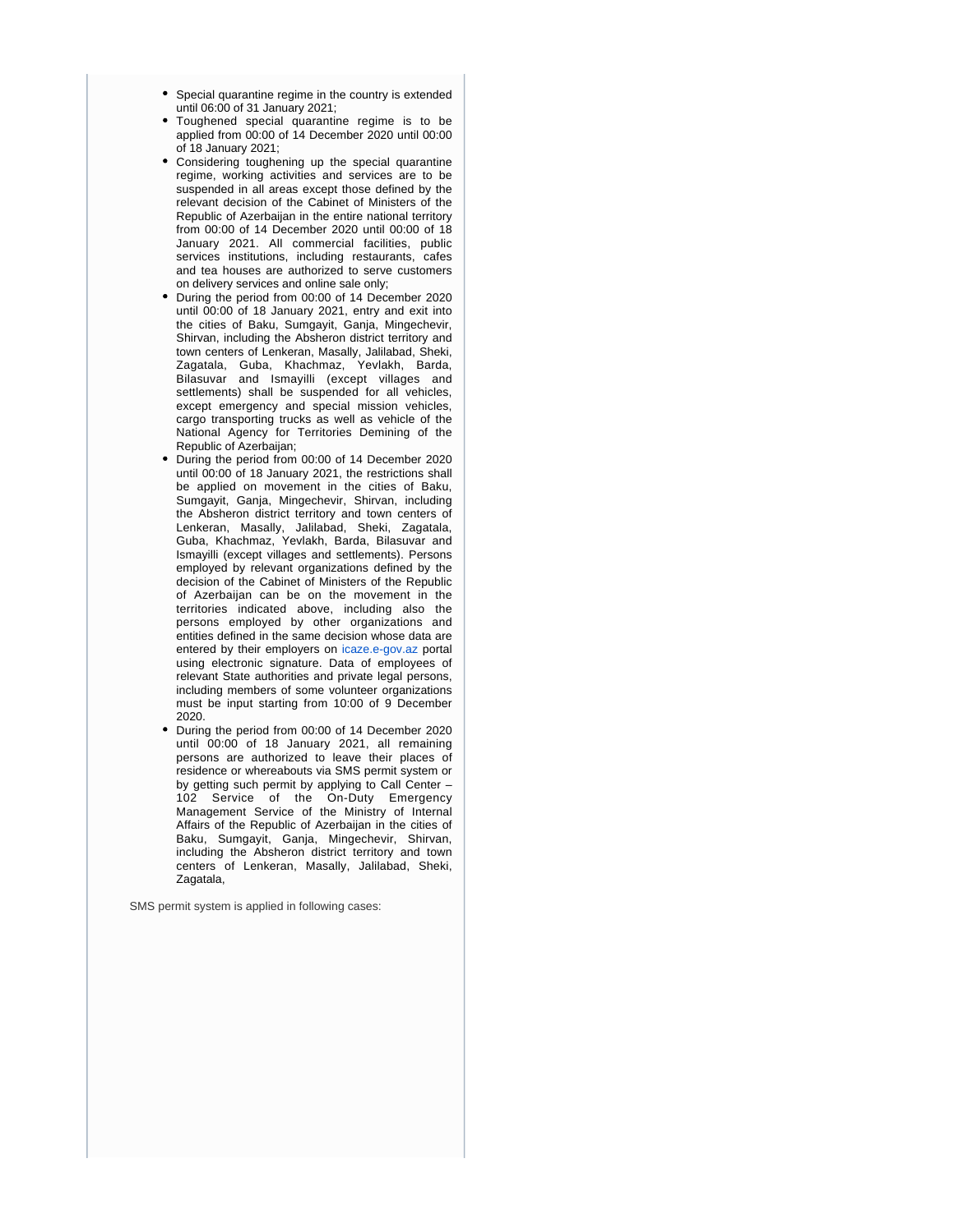- Special quarantine regime in the country is extended until 06:00 of 31 January 2021;
- Toughened special quarantine regime is to be applied from 00:00 of 14 December 2020 until 00:00 of 18 January 2021;
- Considering toughening up the special quarantine regime, working activities and services are to be suspended in all areas except those defined by the relevant decision of the Cabinet of Ministers of the Republic of Azerbaijan in the entire national territory from 00:00 of 14 December 2020 until 00:00 of 18 January 2021. All commercial facilities, public services institutions, including restaurants, cafes and tea houses are authorized to serve customers on delivery services and online sale only;
- During the period from 00:00 of 14 December 2020 until 00:00 of 18 January 2021, entry and exit into the cities of Baku, Sumgayit, Ganja, Mingechevir, Shirvan, including the Absheron district territory and town centers of Lenkeran, Masally, Jalilabad, Sheki, Zagatala, Guba, Khachmaz, Yevlakh, Barda, Bilasuvar and Ismayilli (except villages and settlements) shall be suspended for all vehicles, except emergency and special mission vehicles, cargo transporting trucks as well as vehicle of the National Agency for Territories Demining of the Republic of Azerbaijan;
- During the period from 00:00 of 14 December 2020 until 00:00 of 18 January 2021, the restrictions shall be applied on movement in the cities of Baku, Sumgayit, Ganja, Mingechevir, Shirvan, including the Absheron district territory and town centers of Lenkeran, Masally, Jalilabad, Sheki, Zagatala, Guba, Khachmaz, Yevlakh, Barda, Bilasuvar and Ismayilli (except villages and settlements). Persons employed by relevant organizations defined by the decision of the Cabinet of Ministers of the Republic of Azerbaijan can be on the movement in the territories indicated above, including also the persons employed by other organizations and entities defined in the same decision whose data are entered by their employers on [icaze.e-gov.az](http://icaze.e-gov.az) portal using electronic signature. Data of employees of relevant State authorities and private legal persons, including members of some volunteer organizations must be input starting from 10:00 of 9 December 2020.
- During the period from 00:00 of 14 December 2020 until 00:00 of 18 January 2021, all remaining persons are authorized to leave their places of residence or whereabouts via SMS permit system or by getting such permit by applying to Call Center – 102 Service of the On-Duty Emergency Management Service of the Ministry of Internal Affairs of the Republic of Azerbaijan in the cities of Baku, Sumgayit, Ganja, Mingechevir, Shirvan, including the Absheron district territory and town centers of Lenkeran, Masally, Jalilabad, Sheki, Zagatala,

SMS permit system is applied in following cases: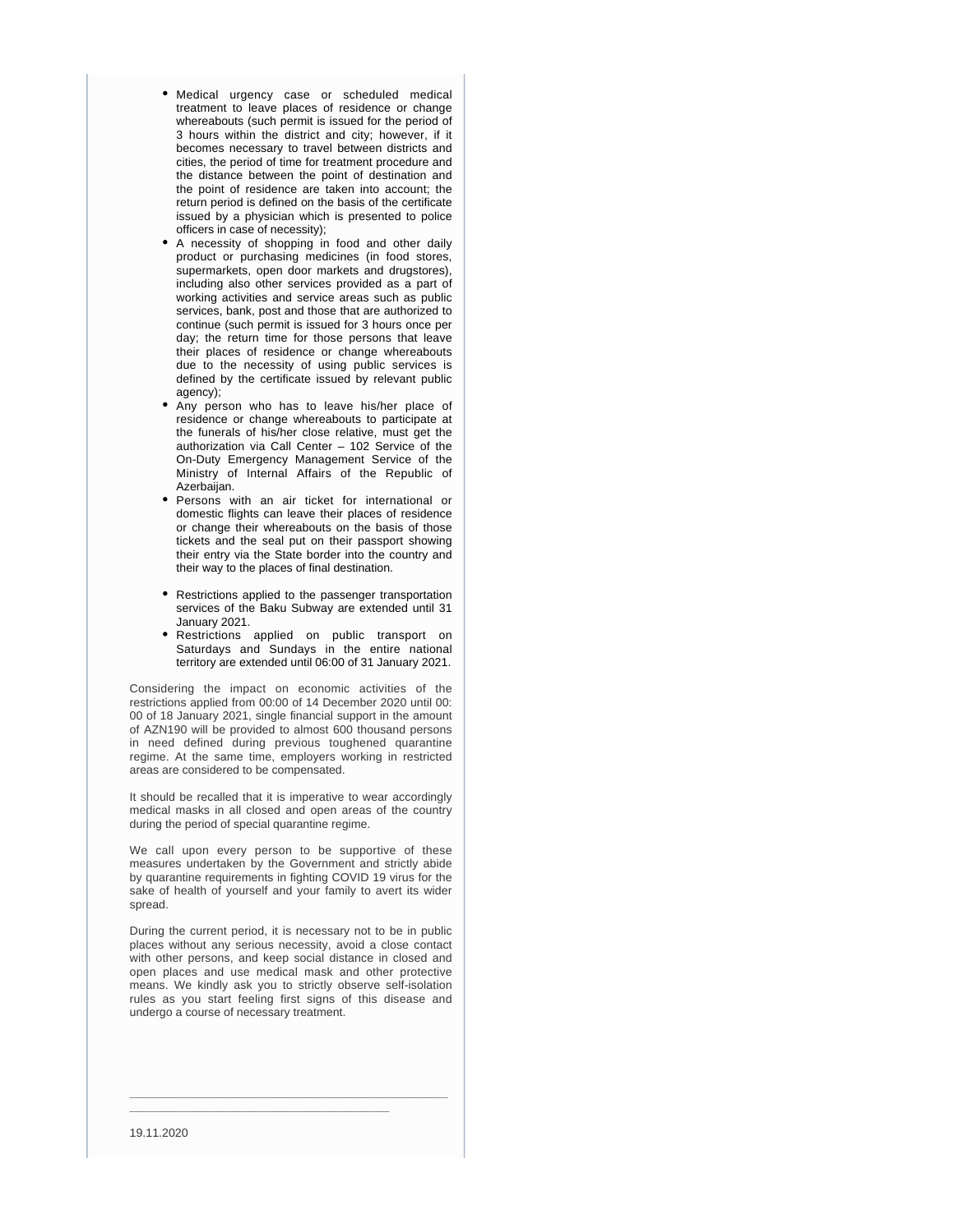- Medical urgency case or scheduled medical treatment to leave places of residence or change whereabouts (such permit is issued for the period of 3 hours within the district and city; however, if it becomes necessary to travel between districts and cities, the period of time for treatment procedure and the distance between the point of destination and the point of residence are taken into account; the return period is defined on the basis of the certificate issued by a physician which is presented to police officers in case of necessity);
- A necessity of shopping in food and other daily product or purchasing medicines (in food stores, supermarkets, open door markets and drugstores), including also other services provided as a part of working activities and service areas such as public services, bank, post and those that are authorized to continue (such permit is issued for 3 hours once per day; the return time for those persons that leave their places of residence or change whereabouts due to the necessity of using public services is defined by the certificate issued by relevant public agency);
- Any person who has to leave his/her place of residence or change whereabouts to participate at the funerals of his/her close relative, must get the authorization via Call Center – 102 Service of the On-Duty Emergency Management Service of the Ministry of Internal Affairs of the Republic of Azerbaijan.
- Persons with an air ticket for international or domestic flights can leave their places of residence or change their whereabouts on the basis of those tickets and the seal put on their passport showing their entry via the State border into the country and their way to the places of final destination.
- Restrictions applied to the passenger transportation services of the Baku Subway are extended until 31 January 2021.
- Restrictions applied on public transport on Saturdays and Sundays in the entire national territory are extended until 06:00 of 31 January 2021.

Considering the impact on economic activities of the restrictions applied from 00:00 of 14 December 2020 until 00: 00 of 18 January 2021, single financial support in the amount of AZN190 will be provided to almost 600 thousand persons in need defined during previous toughened quarantine regime. At the same time, employers working in restricted areas are considered to be compensated.

It should be recalled that it is imperative to wear accordingly medical masks in all closed and open areas of the country during the period of special quarantine regime.

We call upon every person to be supportive of these measures undertaken by the Government and strictly abide by quarantine requirements in fighting COVID 19 virus for the sake of health of yourself and your family to avert its wider spread.

During the current period, it is necessary not to be in public places without any serious necessity, avoid a close contact with other persons, and keep social distance in closed and open places and use medical mask and other protective means. We kindly ask you to strictly observe self-isolation rules as you start feeling first signs of this disease and undergo a course of necessary treatment.

**\_\_\_\_\_\_\_\_\_\_\_\_\_\_\_\_\_\_\_\_\_\_\_\_\_\_\_\_\_\_\_\_\_\_\_\_\_\_\_\_\_\_\_\_\_\_\_\_\_**

**\_\_\_\_\_\_\_\_\_\_\_\_\_\_\_\_\_\_\_\_\_\_\_\_\_\_\_\_\_\_\_\_\_\_\_\_\_\_\_\_**

19.11.2020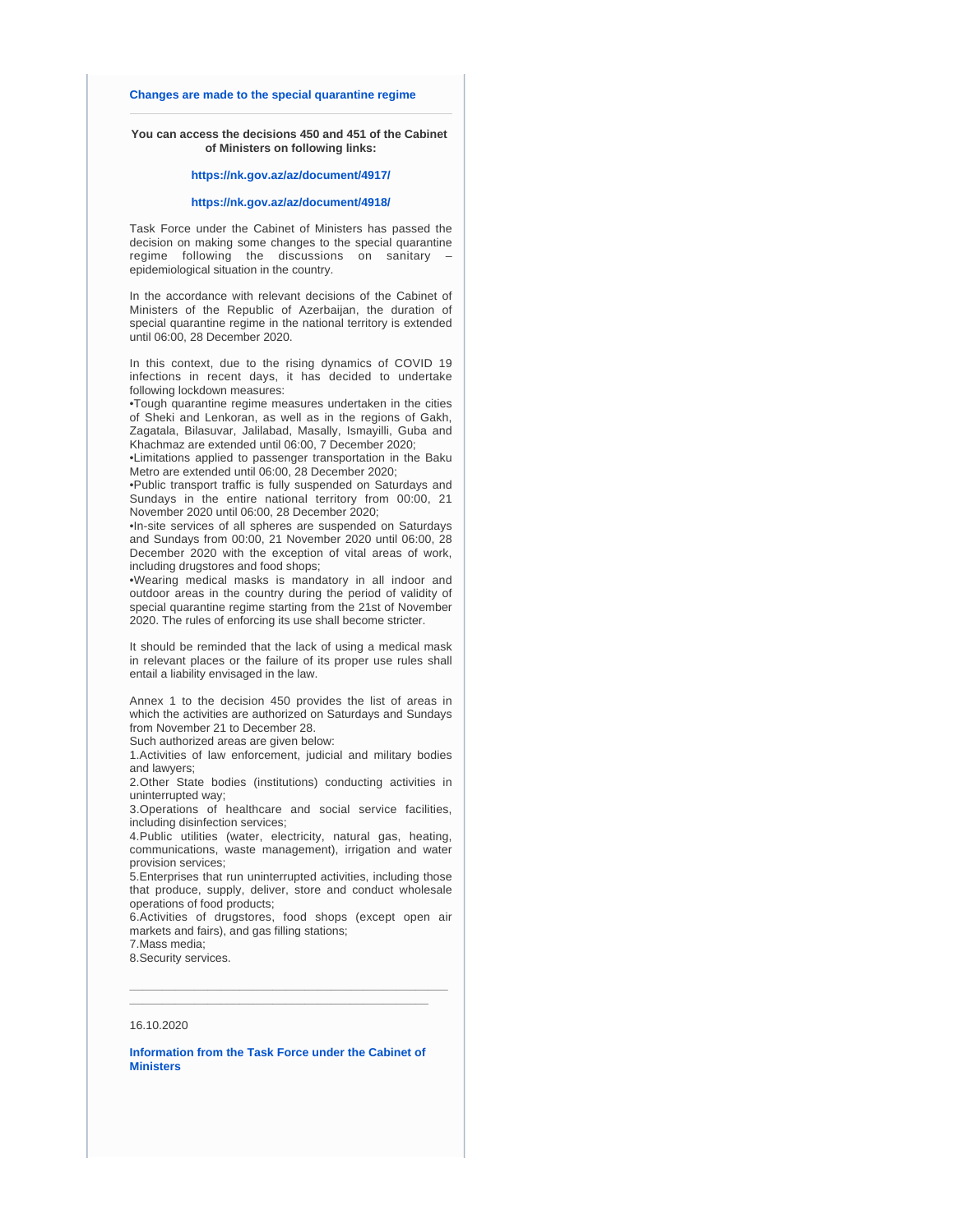#### **[Changes are made to the special quarantine regime](https://nk.gov.az/en/article/1229/)**

#### **You can access the decisions 450 and 451 of the Cabinet of Ministers on following links:**

#### **<https://nk.gov.az/az/document/4917/>**

#### **<https://nk.gov.az/az/document/4918/>**

Task Force under the Cabinet of Ministers has passed the decision on making some changes to the special quarantine regime following the discussions on sanitary – epidemiological situation in the country.

In the accordance with relevant decisions of the Cabinet of Ministers of the Republic of Azerbaijan, the duration of special quarantine regime in the national territory is extended until 06:00, 28 December 2020.

In this context, due to the rising dynamics of COVID 19 infections in recent days, it has decided to undertake following lockdown measures:

•Tough quarantine regime measures undertaken in the cities of Sheki and Lenkoran, as well as in the regions of Gakh, Zagatala, Bilasuvar, Jalilabad, Masally, Ismayilli, Guba and Khachmaz are extended until 06:00, 7 December 2020;

•Limitations applied to passenger transportation in the Baku Metro are extended until 06:00, 28 December 2020;

•Public transport traffic is fully suspended on Saturdays and Sundays in the entire national territory from 00:00, 21 November 2020 until 06:00, 28 December 2020;

•In-site services of all spheres are suspended on Saturdays and Sundays from 00:00, 21 November 2020 until 06:00, 28 December 2020 with the exception of vital areas of work, including drugstores and food shops;

•Wearing medical masks is mandatory in all indoor and outdoor areas in the country during the period of validity of special quarantine regime starting from the 21st of November 2020. The rules of enforcing its use shall become stricter.

It should be reminded that the lack of using a medical mask in relevant places or the failure of its proper use rules shall entail a liability envisaged in the law.

Annex 1 to the decision 450 provides the list of areas in which the activities are authorized on Saturdays and Sundays from November 21 to December 28.

Such authorized areas are given below:

1.Activities of law enforcement, judicial and military bodies and lawyers;

2.Other State bodies (institutions) conducting activities in uninterrupted way;

3.Operations of healthcare and social service facilities, including disinfection services;

4.Public utilities (water, electricity, natural gas, heating, communications, waste management), irrigation and water provision services;

5.Enterprises that run uninterrupted activities, including those that produce, supply, deliver, store and conduct wholesale operations of food products;

6.Activities of drugstores, food shops (except open air markets and fairs), and gas filling stations;

**\_\_\_\_\_\_\_\_\_\_\_\_\_\_\_\_\_\_\_\_\_\_\_\_\_\_\_\_\_\_\_\_\_\_\_\_\_\_\_\_\_\_\_\_\_\_\_\_\_ \_\_\_\_\_\_\_\_\_\_\_\_\_\_\_\_\_\_\_\_\_\_\_\_\_\_\_\_\_\_\_\_\_\_\_\_\_\_\_\_\_\_\_\_\_\_**

7.Mass media;

8.Security services.

#### 16.10.2020

**[Information from the Task Force under the Cabinet of](https://nk.gov.az/en/article/1129/)  [Ministers](https://nk.gov.az/en/article/1129/)**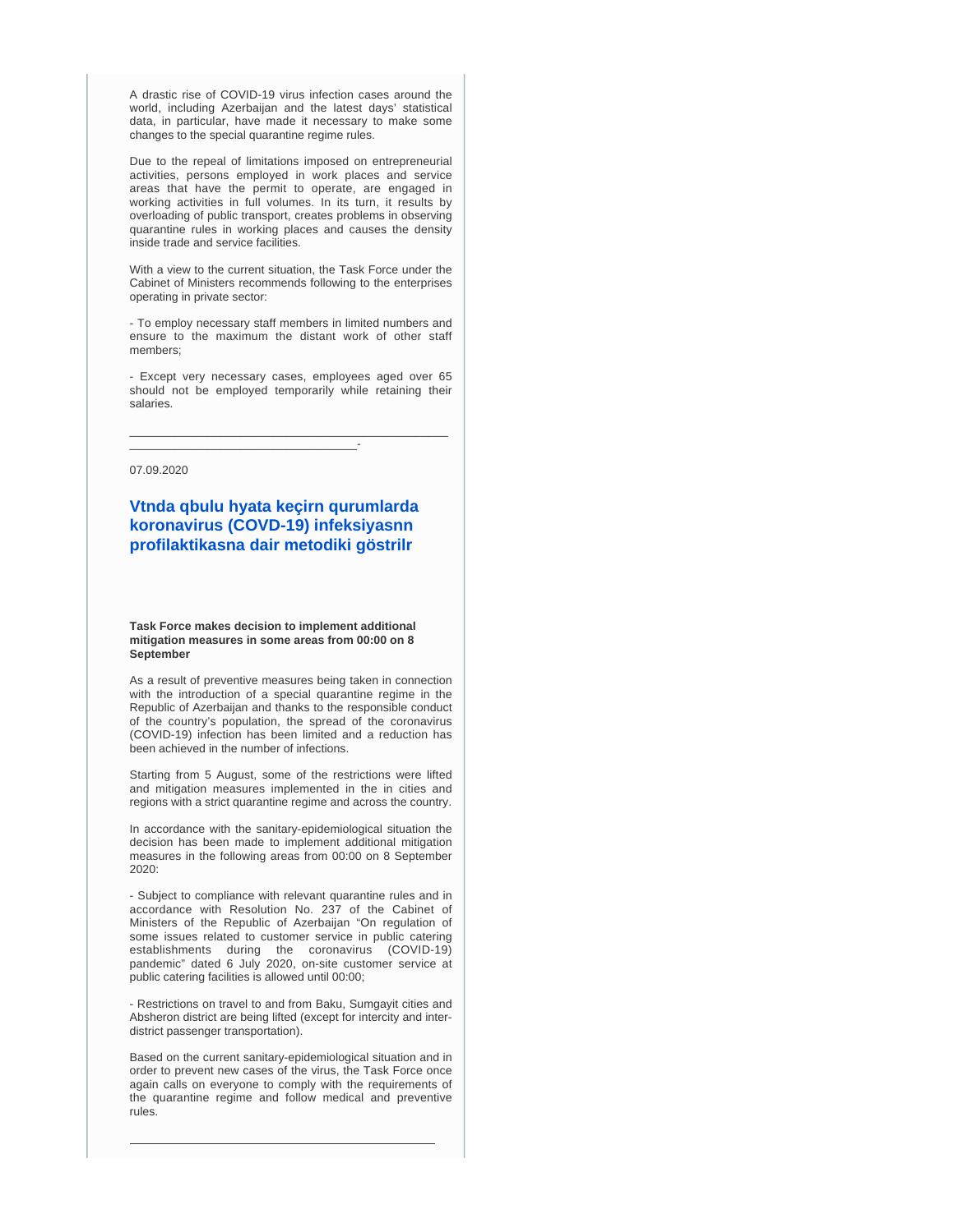A drastic rise of COVID-19 virus infection cases around the world, including Azerbaijan and the latest days' statistical data, in particular, have made it necessary to make some changes to the special quarantine regime rules.

Due to the repeal of limitations imposed on entrepreneurial activities, persons employed in work places and service areas that have the permit to operate, are engaged in working activities in full volumes. In its turn, it results by overloading of public transport, creates problems in observing quarantine rules in working places and causes the density inside trade and service facilities.

With a view to the current situation, the Task Force under the Cabinet of Ministers recommends following to the enterprises operating in private sector:

- To employ necessary staff members in limited numbers and ensure to the maximum the distant work of other staff members;

- Except very necessary cases, employees aged over 65 should not be employed temporarily while retaining their salaries.

\_\_\_\_\_\_\_\_\_\_\_\_\_\_\_\_\_\_\_\_\_\_\_\_\_\_\_\_\_\_\_\_\_\_\_\_\_\_\_\_\_\_\_\_\_\_\_\_\_

\_\_\_\_\_\_\_\_\_\_\_\_\_\_\_\_\_\_\_\_\_\_\_\_\_\_\_\_\_\_\_\_\_\_\_-

07.09.2020

## **[Vtnda qbulu hyata keçirn qurumlarda](https://nk.gov.az/az/article/1019/)  [koronavirus \(COVD-19\) infeksiyasnn](https://nk.gov.az/az/article/1019/)  [profilaktikasna dair metodiki göstrilr](https://nk.gov.az/az/article/1019/)**

**Task Force makes decision to implement additional mitigation measures in some areas from 00:00 on 8 September**

As a result of preventive measures being taken in connection with the introduction of a special quarantine regime in the Republic of Azerbaijan and thanks to the responsible conduct of the country's population, the spread of the coronavirus (COVID-19) infection has been limited and a reduction has been achieved in the number of infections.

Starting from 5 August, some of the restrictions were lifted and mitigation measures implemented in the in cities and regions with a strict quarantine regime and across the country.

In accordance with the sanitary-epidemiological situation the decision has been made to implement additional mitigation measures in the following areas from 00:00 on 8 September 2020:

- Subject to compliance with relevant quarantine rules and in accordance with Resolution No. 237 of the Cabinet of Ministers of the Republic of Azerbaijan "On regulation of some issues related to customer service in public catering establishments during the coronavirus (COVID-19) pandemic" dated 6 July 2020, on-site customer service at public catering facilities is allowed until 00:00;

- Restrictions on travel to and from Baku, Sumgayit cities and Absheron district are being lifted (except for intercity and interdistrict passenger transportation).

Based on the current sanitary-epidemiological situation and in order to prevent new cases of the virus, the Task Force once again calls on everyone to comply with the requirements of the quarantine regime and follow medical and preventive rules.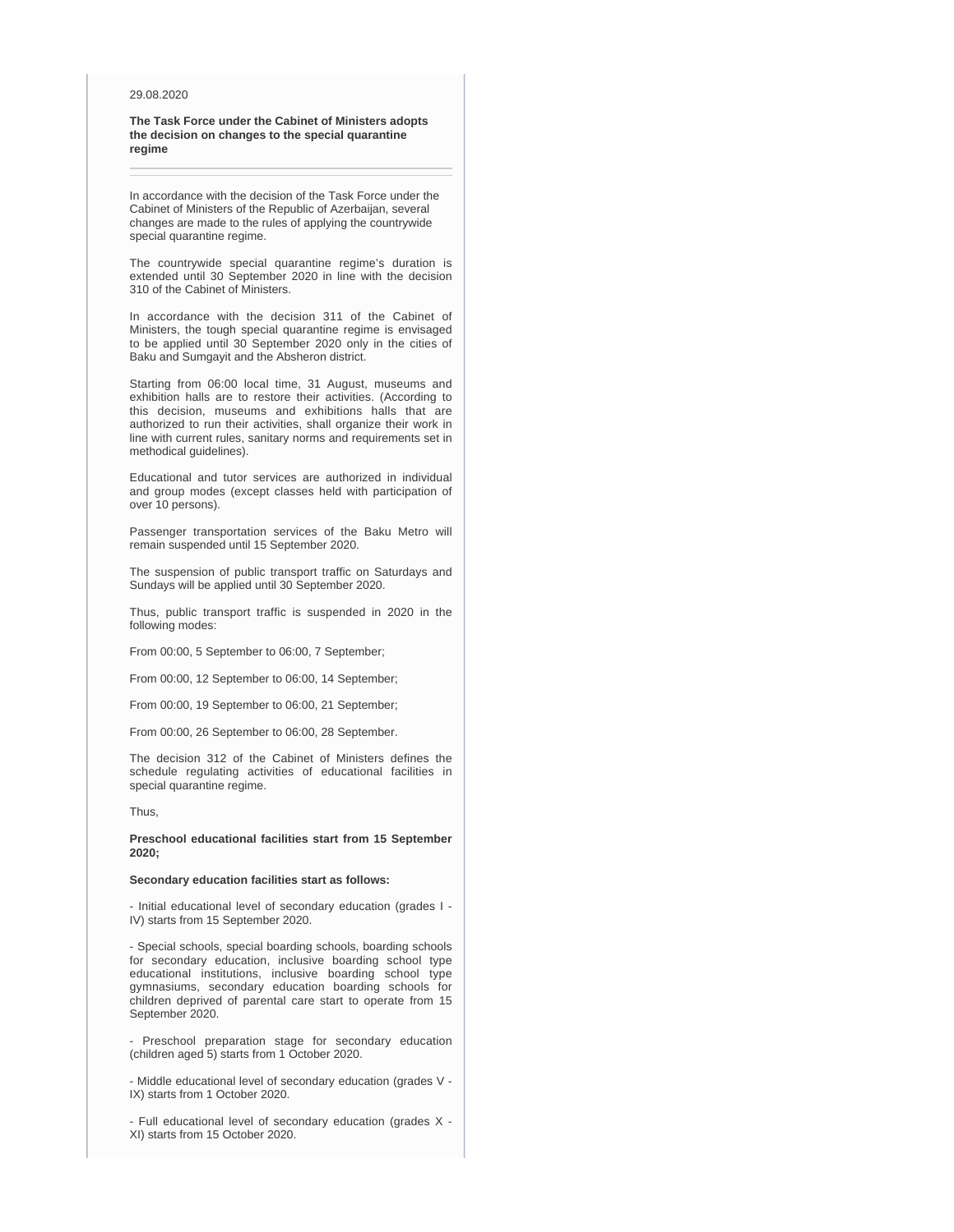#### 29.08.2020

**The Task Force under the Cabinet of Ministers adopts the decision on changes to the special quarantine regime** 

In accordance with the decision of the Task Force under the Cabinet of Ministers of the Republic of Azerbaijan, several changes are made to the rules of applying the countrywide special quarantine regime.

The countrywide special quarantine regime's duration is extended until 30 September 2020 in line with the decision 310 of the Cabinet of Ministers.

In accordance with the decision 311 of the Cabinet of Ministers, the tough special quarantine regime is envisaged to be applied until 30 September 2020 only in the cities of Baku and Sumgayit and the Absheron district.

Starting from 06:00 local time, 31 August, museums and exhibition halls are to restore their activities. (According to this decision, museums and exhibitions halls that are authorized to run their activities, shall organize their work in line with current rules, sanitary norms and requirements set in methodical guidelines).

Educational and tutor services are authorized in individual and group modes (except classes held with participation of over 10 persons).

Passenger transportation services of the Baku Metro will remain suspended until 15 September 2020.

The suspension of public transport traffic on Saturdays and Sundays will be applied until 30 September 2020.

Thus, public transport traffic is suspended in 2020 in the following modes:

From 00:00, 5 September to 06:00, 7 September;

From 00:00, 12 September to 06:00, 14 September;

From 00:00, 19 September to 06:00, 21 September;

From 00:00, 26 September to 06:00, 28 September.

The decision 312 of the Cabinet of Ministers defines the schedule regulating activities of educational facilities in special quarantine regime.

Thus,

**Preschool educational facilities start from 15 September 2020;**

#### **Secondary education facilities start as follows:**

- Initial educational level of secondary education (grades I - IV) starts from 15 September 2020.

- Special schools, special boarding schools, boarding schools for secondary education, inclusive boarding school type educational institutions, inclusive boarding school type gymnasiums, secondary education boarding schools for children deprived of parental care start to operate from 15 September 2020.

- Preschool preparation stage for secondary education (children aged 5) starts from 1 October 2020.

- Middle educational level of secondary education (grades V - IX) starts from 1 October 2020.

- Full educational level of secondary education (grades X - XI) starts from 15 October 2020.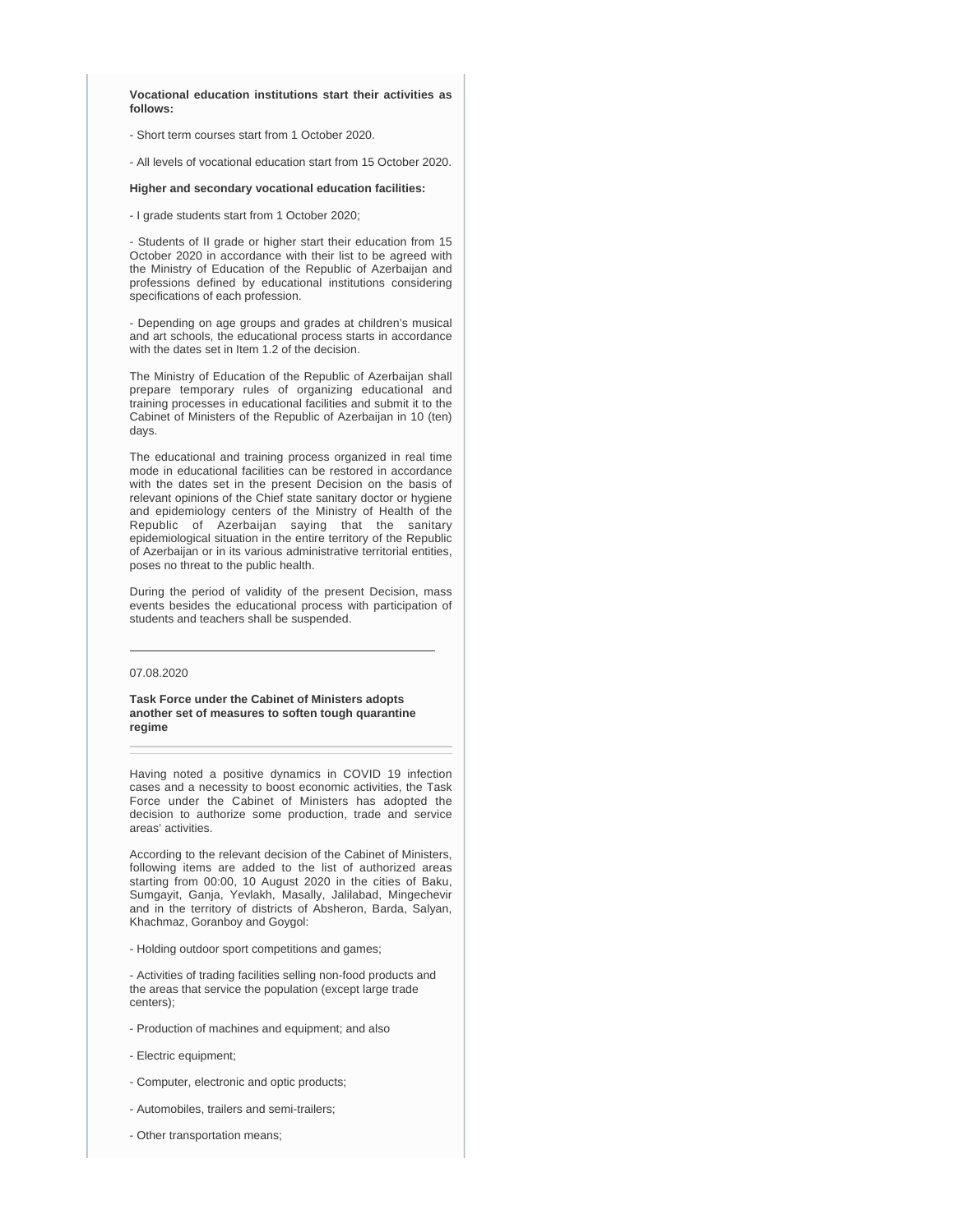**Vocational education institutions start their activities as follows:**

- Short term courses start from 1 October 2020.

- All levels of vocational education start from 15 October 2020.

#### **Higher and secondary vocational education facilities:**

- I grade students start from 1 October 2020;

- Students of II grade or higher start their education from 15 October 2020 in accordance with their list to be agreed with the Ministry of Education of the Republic of Azerbaijan and professions defined by educational institutions considering specifications of each profession.

- Depending on age groups and grades at children's musical and art schools, the educational process starts in accordance with the dates set in Item 1.2 of the decision.

The Ministry of Education of the Republic of Azerbaijan shall prepare temporary rules of organizing educational and training processes in educational facilities and submit it to the Cabinet of Ministers of the Republic of Azerbaijan in 10 (ten) days.

The educational and training process organized in real time mode in educational facilities can be restored in accordance with the dates set in the present Decision on the basis of relevant opinions of the Chief state sanitary doctor or hygiene and epidemiology centers of the Ministry of Health of the Republic of Azerbaijan saying that the sanitary epidemiological situation in the entire territory of the Republic of Azerbaijan or in its various administrative territorial entities, poses no threat to the public health.

During the period of validity of the present Decision, mass events besides the educational process with participation of students and teachers shall be suspended.

#### 07.08.2020

**Task Force under the Cabinet of Ministers adopts another set of measures to soften tough quarantine regime** 

Having noted a positive dynamics in COVID 19 infection cases and a necessity to boost economic activities, the Task Force under the Cabinet of Ministers has adopted the decision to authorize some production, trade and service areas' activities.

According to the relevant decision of the Cabinet of Ministers, following items are added to the list of authorized areas starting from 00:00, 10 August 2020 in the cities of Baku, Sumgayit, Ganja, Yevlakh, Masally, Jalilabad, Mingechevir and in the territory of districts of Absheron, Barda, Salyan, Khachmaz, Goranboy and Goygol:

- Holding outdoor sport competitions and games;

- Activities of trading facilities selling non-food products and the areas that service the population (except large trade centers);

- Production of machines and equipment; and also
- Electric equipment;
- Computer, electronic and optic products;
- Automobiles, trailers and semi-trailers;
- Other transportation means;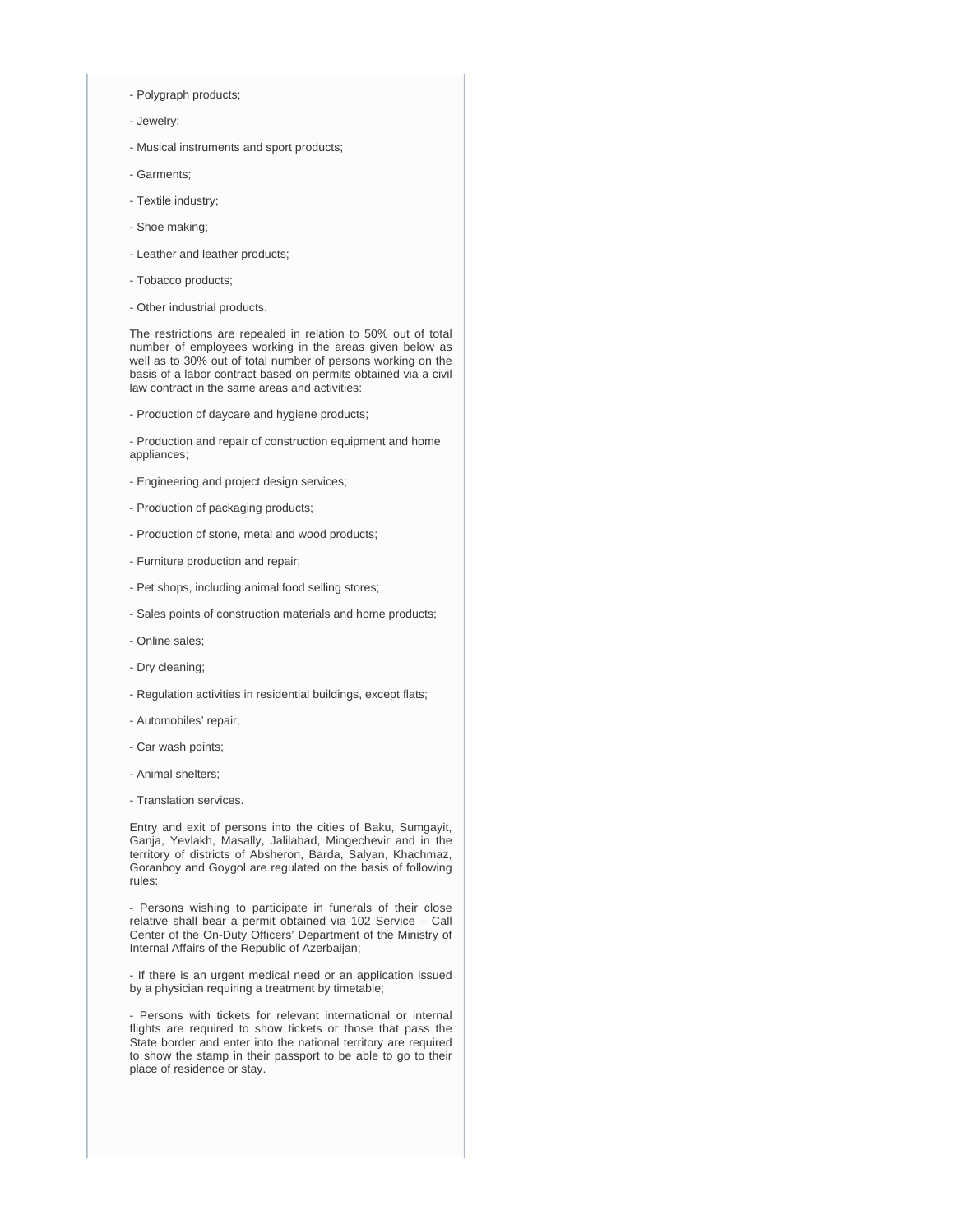- Polygraph products;
- Jewelry;
- Musical instruments and sport products;
- Garments;
- Textile industry;
- Shoe making;
- Leather and leather products;
- Tobacco products;
- Other industrial products.

The restrictions are repealed in relation to 50% out of total number of employees working in the areas given below as well as to 30% out of total number of persons working on the basis of a labor contract based on permits obtained via a civil law contract in the same areas and activities:

- Production of daycare and hygiene products;

- Production and repair of construction equipment and home appliances;

- Engineering and project design services;
- Production of packaging products;
- Production of stone, metal and wood products;
- Furniture production and repair;
- Pet shops, including animal food selling stores;
- Sales points of construction materials and home products;
- Online sales;
- Dry cleaning;
- Regulation activities in residential buildings, except flats;
- Automobiles' repair;
- Car wash points;
- Animal shelters;
- Translation services.

Entry and exit of persons into the cities of Baku, Sumgayit, Ganja, Yevlakh, Masally, Jalilabad, Mingechevir and in the territory of districts of Absheron, Barda, Salyan, Khachmaz, Goranboy and Goygol are regulated on the basis of following rules:

- Persons wishing to participate in funerals of their close relative shall bear a permit obtained via 102 Service – Call Center of the On-Duty Officers' Department of the Ministry of Internal Affairs of the Republic of Azerbaijan;

- If there is an urgent medical need or an application issued by a physician requiring a treatment by timetable;

- Persons with tickets for relevant international or internal flights are required to show tickets or those that pass the State border and enter into the national territory are required to show the stamp in their passport to be able to go to their place of residence or stay.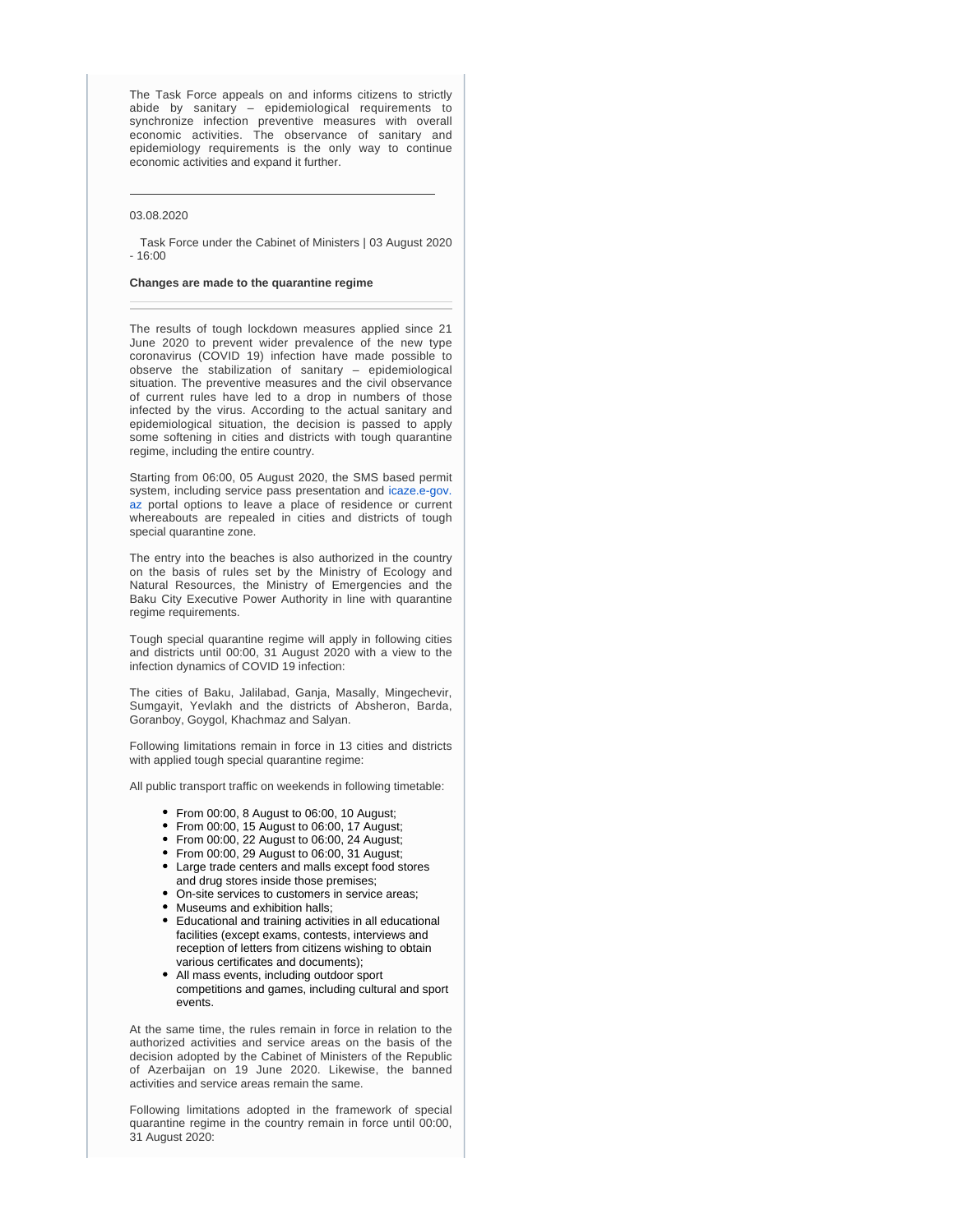The Task Force appeals on and informs citizens to strictly abide by sanitary – epidemiological requirements to synchronize infection preventive measures with overall economic activities. The observance of sanitary and epidemiology requirements is the only way to continue economic activities and expand it further.

## 03.08.2020

 Task Force under the Cabinet of Ministers | 03 August 2020 - 16:00

#### **Changes are made to the quarantine regime**

The results of tough lockdown measures applied since 21 June 2020 to prevent wider prevalence of the new type coronavirus (COVID 19) infection have made possible to observe the stabilization of sanitary – epidemiological situation. The preventive measures and the civil observance of current rules have led to a drop in numbers of those infected by the virus. According to the actual sanitary and epidemiological situation, the decision is passed to apply some softening in cities and districts with tough quarantine regime, including the entire country.

Starting from 06:00, 05 August 2020, the SMS based permit system, including service pass presentation and [icaze.e-gov.](http://icaze.e-gov.az) [az](http://icaze.e-gov.az) portal options to leave a place of residence or current whereabouts are repealed in cities and districts of tough special quarantine zone.

The entry into the beaches is also authorized in the country on the basis of rules set by the Ministry of Ecology and Natural Resources, the Ministry of Emergencies and the Baku City Executive Power Authority in line with quarantine regime requirements.

Tough special quarantine regime will apply in following cities and districts until 00:00, 31 August 2020 with a view to the infection dynamics of COVID 19 infection:

The cities of Baku, Jalilabad, Ganja, Masally, Mingechevir, Sumgayit, Yevlakh and the districts of Absheron, Barda, Goranboy, Goygol, Khachmaz and Salyan.

Following limitations remain in force in 13 cities and districts with applied tough special quarantine regime:

All public transport traffic on weekends in following timetable:

- From 00:00, 8 August to 06:00, 10 August;
- From 00:00, 15 August to 06:00, 17 August;
- From 00:00, 22 August to 06:00, 24 August;
- From 00:00, 29 August to 06:00, 31 August;
- Large trade centers and malls except food stores and drug stores inside those premises;
- On-site services to customers in service areas;
- Museums and exhibition halls;
- Educational and training activities in all educational facilities (except exams, contests, interviews and reception of letters from citizens wishing to obtain various certificates and documents);
- All mass events, including outdoor sport competitions and games, including cultural and sport events.

At the same time, the rules remain in force in relation to the authorized activities and service areas on the basis of the decision adopted by the Cabinet of Ministers of the Republic of Azerbaijan on 19 June 2020. Likewise, the banned activities and service areas remain the same.

Following limitations adopted in the framework of special quarantine regime in the country remain in force until 00:00, 31 August 2020: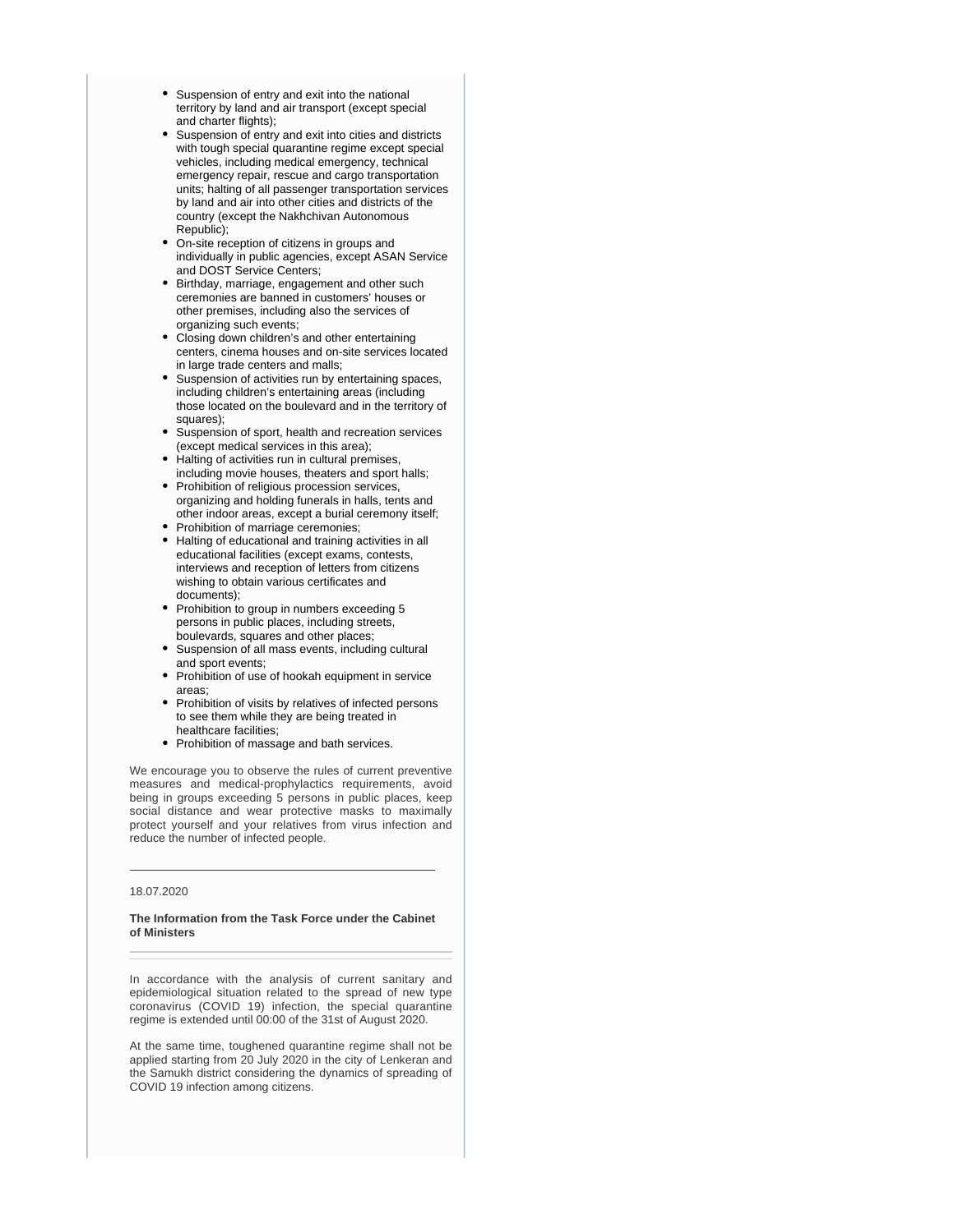- Suspension of entry and exit into the national territory by land and air transport (except special and charter flights);
- Suspension of entry and exit into cities and districts with tough special quarantine regime except special vehicles, including medical emergency, technical emergency repair, rescue and cargo transportation units; halting of all passenger transportation services by land and air into other cities and districts of the country (except the Nakhchivan Autonomous Republic);
- On-site reception of citizens in groups and individually in public agencies, except ASAN Service and DOST Service Centers;
- Birthday, marriage, engagement and other such ceremonies are banned in customers' houses or other premises, including also the services of organizing such events;
- Closing down children's and other entertaining centers, cinema houses and on-site services located in large trade centers and malls;
- Suspension of activities run by entertaining spaces, including children's entertaining areas (including those located on the boulevard and in the territory of squares);
- Suspension of sport, health and recreation services (except medical services in this area);
- Halting of activities run in cultural premises, including movie houses, theaters and sport halls;
- Prohibition of religious procession services, organizing and holding funerals in halls, tents and other indoor areas, except a burial ceremony itself;
- Prohibition of marriage ceremonies;
- Halting of educational and training activities in all educational facilities (except exams, contests, interviews and reception of letters from citizens wishing to obtain various certificates and documents);
- Prohibition to group in numbers exceeding 5 persons in public places, including streets, boulevards, squares and other places;
- Suspension of all mass events, including cultural and sport events;
- Prohibition of use of hookah equipment in service areas;
- Prohibition of visits by relatives of infected persons to see them while they are being treated in healthcare facilities;
- Prohibition of massage and bath services.

We encourage you to observe the rules of current preventive measures and medical-prophylactics requirements, avoid being in groups exceeding 5 persons in public places, keep social distance and wear protective masks to maximally protect yourself and your relatives from virus infection and reduce the number of infected people.

## 18.07.2020

#### **The Information from the Task Force under the Cabinet of Ministers**

In accordance with the analysis of current sanitary and epidemiological situation related to the spread of new type coronavirus (COVID 19) infection, the special quarantine regime is extended until 00:00 of the 31st of August 2020.

At the same time, toughened quarantine regime shall not be applied starting from 20 July 2020 in the city of Lenkeran and the Samukh district considering the dynamics of spreading of COVID 19 infection among citizens.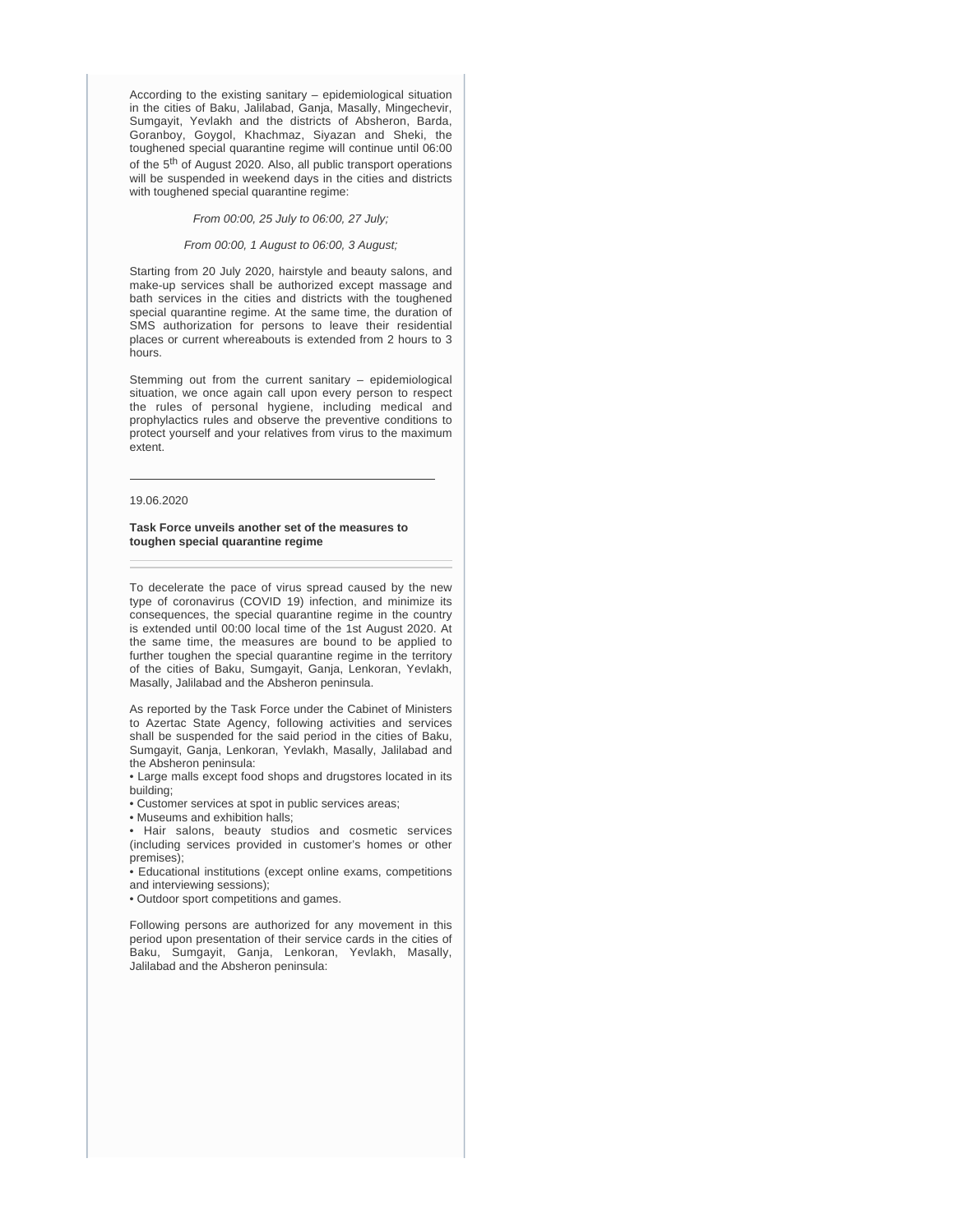According to the existing sanitary – epidemiological situation in the cities of Baku, Jalilabad, Ganja, Masally, Mingechevir, Sumgayit, Yevlakh and the districts of Absheron, Barda, Goranboy, Goygol, Khachmaz, Siyazan and Sheki, the toughened special quarantine regime will continue until 06:00 of the  $5<sup>th</sup>$  of August 2020. Also, all public transport operations will be suspended in weekend days in the cities and districts with toughened special quarantine regime:

From 00:00, 25 July to 06:00, 27 July;

#### From 00:00, 1 August to 06:00, 3 August;

Starting from 20 July 2020, hairstyle and beauty salons, and make-up services shall be authorized except massage and bath services in the cities and districts with the toughened special quarantine regime. At the same time, the duration of SMS authorization for persons to leave their residential places or current whereabouts is extended from 2 hours to 3 hours.

Stemming out from the current sanitary – epidemiological situation, we once again call upon every person to respect the rules of personal hygiene, including medical and prophylactics rules and observe the preventive conditions to protect yourself and your relatives from virus to the maximum extent.

#### 19.06.2020

**Task Force unveils another set of the measures to toughen special quarantine regime** 

To decelerate the pace of virus spread caused by the new type of coronavirus (COVID 19) infection, and minimize its consequences, the special quarantine regime in the country is extended until 00:00 local time of the 1st August 2020. At the same time, the measures are bound to be applied to further toughen the special quarantine regime in the territory of the cities of Baku, Sumgayit, Ganja, Lenkoran, Yevlakh, Masally, Jalilabad and the Absheron peninsula.

As reported by the Task Force under the Cabinet of Ministers to Azertac State Agency, following activities and services shall be suspended for the said period in the cities of Baku, Sumgayit, Ganja, Lenkoran, Yevlakh, Masally, Jalilabad and the Absheron peninsula:

• Large malls except food shops and drugstores located in its building;

• Customer services at spot in public services areas;

• Museums and exhibition halls;

• Hair salons, beauty studios and cosmetic services (including services provided in customer's homes or other premises);

• Educational institutions (except online exams, competitions and interviewing sessions);

• Outdoor sport competitions and games.

Following persons are authorized for any movement in this period upon presentation of their service cards in the cities of Baku, Sumgayit, Ganja, Lenkoran, Yevlakh, Masally, Jalilabad and the Absheron peninsula: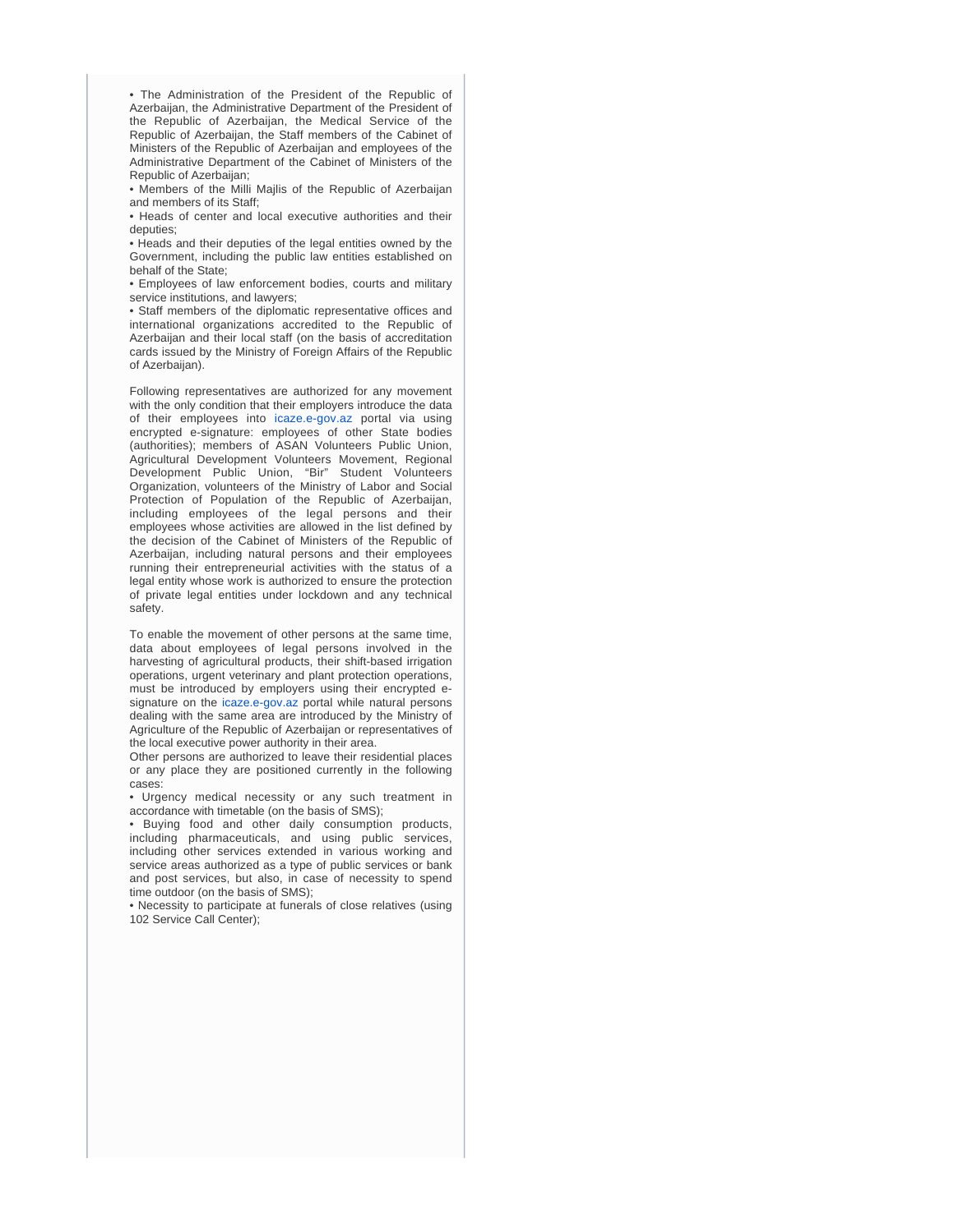• The Administration of the President of the Republic of Azerbaijan, the Administrative Department of the President of the Republic of Azerbaijan, the Medical Service of the Republic of Azerbaijan, the Staff members of the Cabinet of Ministers of the Republic of Azerbaijan and employees of the Administrative Department of the Cabinet of Ministers of the Republic of Azerbaijan;

• Members of the Milli Majlis of the Republic of Azerbaijan and members of its Staff;

• Heads of center and local executive authorities and their deputies;

• Heads and their deputies of the legal entities owned by the Government, including the public law entities established on behalf of the State;

• Employees of law enforcement bodies, courts and military service institutions, and lawyers;

• Staff members of the diplomatic representative offices and international organizations accredited to the Republic of Azerbaijan and their local staff (on the basis of accreditation cards issued by the Ministry of Foreign Affairs of the Republic of Azerbaijan).

Following representatives are authorized for any movement with the only condition that their employers introduce the data of their employees into [icaze.e-gov.az](http://icaze.e-gov.az) portal via using encrypted e-signature: employees of other State bodies (authorities); members of ASAN Volunteers Public Union, Agricultural Development Volunteers Movement, Regional Development Public Union, "Bir" Student Volunteers Organization, volunteers of the Ministry of Labor and Social Protection of Population of the Republic of Azerbaijan, including employees of the legal persons and their employees whose activities are allowed in the list defined by the decision of the Cabinet of Ministers of the Republic of Azerbaijan, including natural persons and their employees running their entrepreneurial activities with the status of a legal entity whose work is authorized to ensure the protection of private legal entities under lockdown and any technical safety.

To enable the movement of other persons at the same time, data about employees of legal persons involved in the harvesting of agricultural products, their shift-based irrigation operations, urgent veterinary and plant protection operations, must be introduced by employers using their encrypted esignature on the [icaze.e-gov.az](http://icaze.e-gov.az) portal while natural persons dealing with the same area are introduced by the Ministry of Agriculture of the Republic of Azerbaijan or representatives of the local executive power authority in their area.

Other persons are authorized to leave their residential places or any place they are positioned currently in the following cases:

• Urgency medical necessity or any such treatment in accordance with timetable (on the basis of SMS);

• Buying food and other daily consumption products, including pharmaceuticals, and using public services, including other services extended in various working and service areas authorized as a type of public services or bank and post services, but also, in case of necessity to spend time outdoor (on the basis of SMS);

• Necessity to participate at funerals of close relatives (using 102 Service Call Center);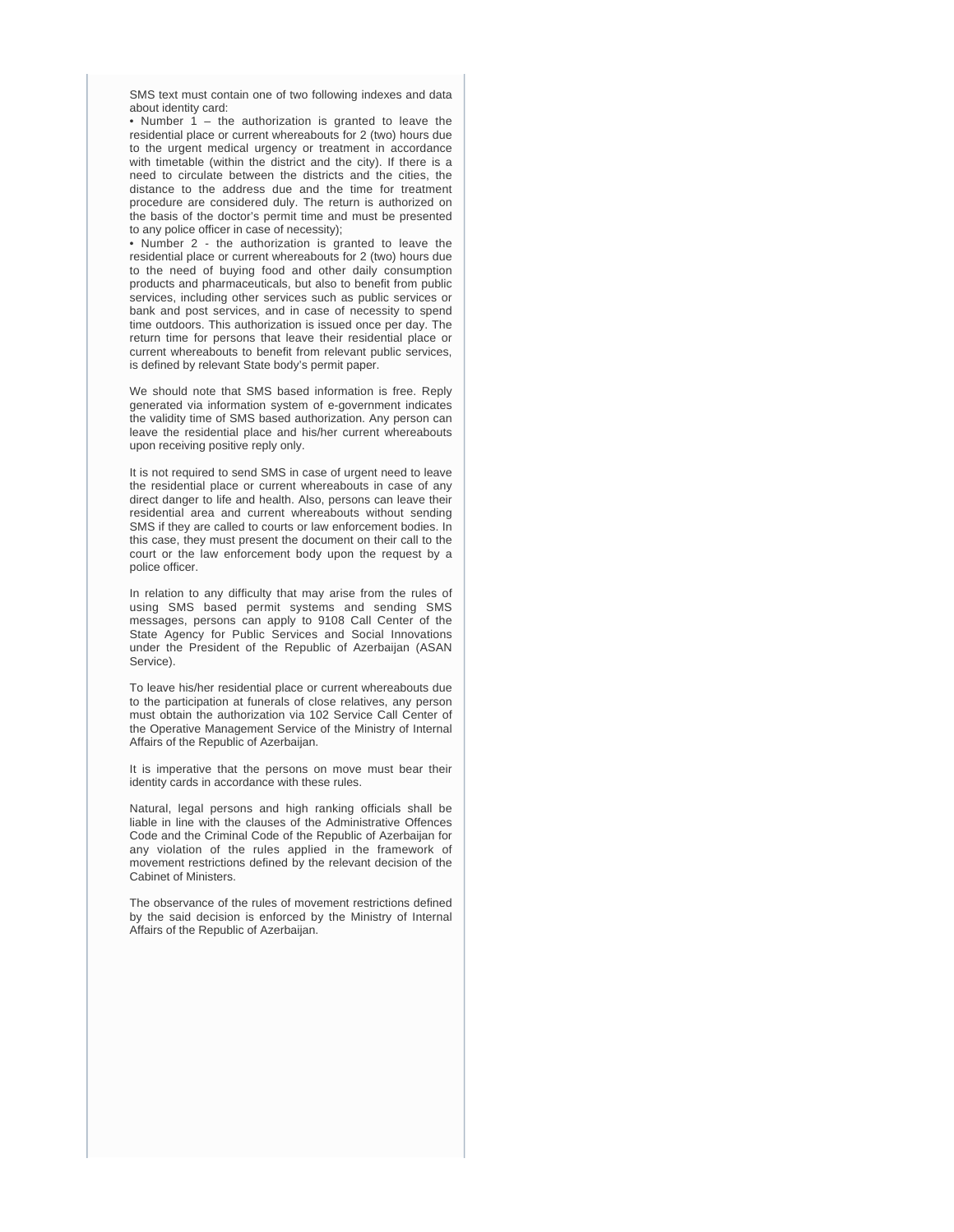SMS text must contain one of two following indexes and data about identity card:

• Number 1 – the authorization is granted to leave the residential place or current whereabouts for 2 (two) hours due to the urgent medical urgency or treatment in accordance with timetable (within the district and the city). If there is a need to circulate between the districts and the cities, the distance to the address due and the time for treatment procedure are considered duly. The return is authorized on the basis of the doctor's permit time and must be presented to any police officer in case of necessity);

• Number 2 - the authorization is granted to leave the residential place or current whereabouts for 2 (two) hours due to the need of buying food and other daily consumption products and pharmaceuticals, but also to benefit from public services, including other services such as public services or bank and post services, and in case of necessity to spend time outdoors. This authorization is issued once per day. The return time for persons that leave their residential place or current whereabouts to benefit from relevant public services, is defined by relevant State body's permit paper.

We should note that SMS based information is free. Reply generated via information system of e-government indicates the validity time of SMS based authorization. Any person can leave the residential place and his/her current whereabouts upon receiving positive reply only.

It is not required to send SMS in case of urgent need to leave the residential place or current whereabouts in case of any direct danger to life and health. Also, persons can leave their residential area and current whereabouts without sending SMS if they are called to courts or law enforcement bodies. In this case, they must present the document on their call to the court or the law enforcement body upon the request by a police officer.

In relation to any difficulty that may arise from the rules of using SMS based permit systems and sending SMS messages, persons can apply to 9108 Call Center of the State Agency for Public Services and Social Innovations under the President of the Republic of Azerbaijan (ASAN Service).

To leave his/her residential place or current whereabouts due to the participation at funerals of close relatives, any person must obtain the authorization via 102 Service Call Center of the Operative Management Service of the Ministry of Internal Affairs of the Republic of Azerbaijan.

It is imperative that the persons on move must bear their identity cards in accordance with these rules.

Natural, legal persons and high ranking officials shall be liable in line with the clauses of the Administrative Offences Code and the Criminal Code of the Republic of Azerbaijan for any violation of the rules applied in the framework of movement restrictions defined by the relevant decision of the Cabinet of Ministers.

The observance of the rules of movement restrictions defined by the said decision is enforced by the Ministry of Internal Affairs of the Republic of Azerbaijan.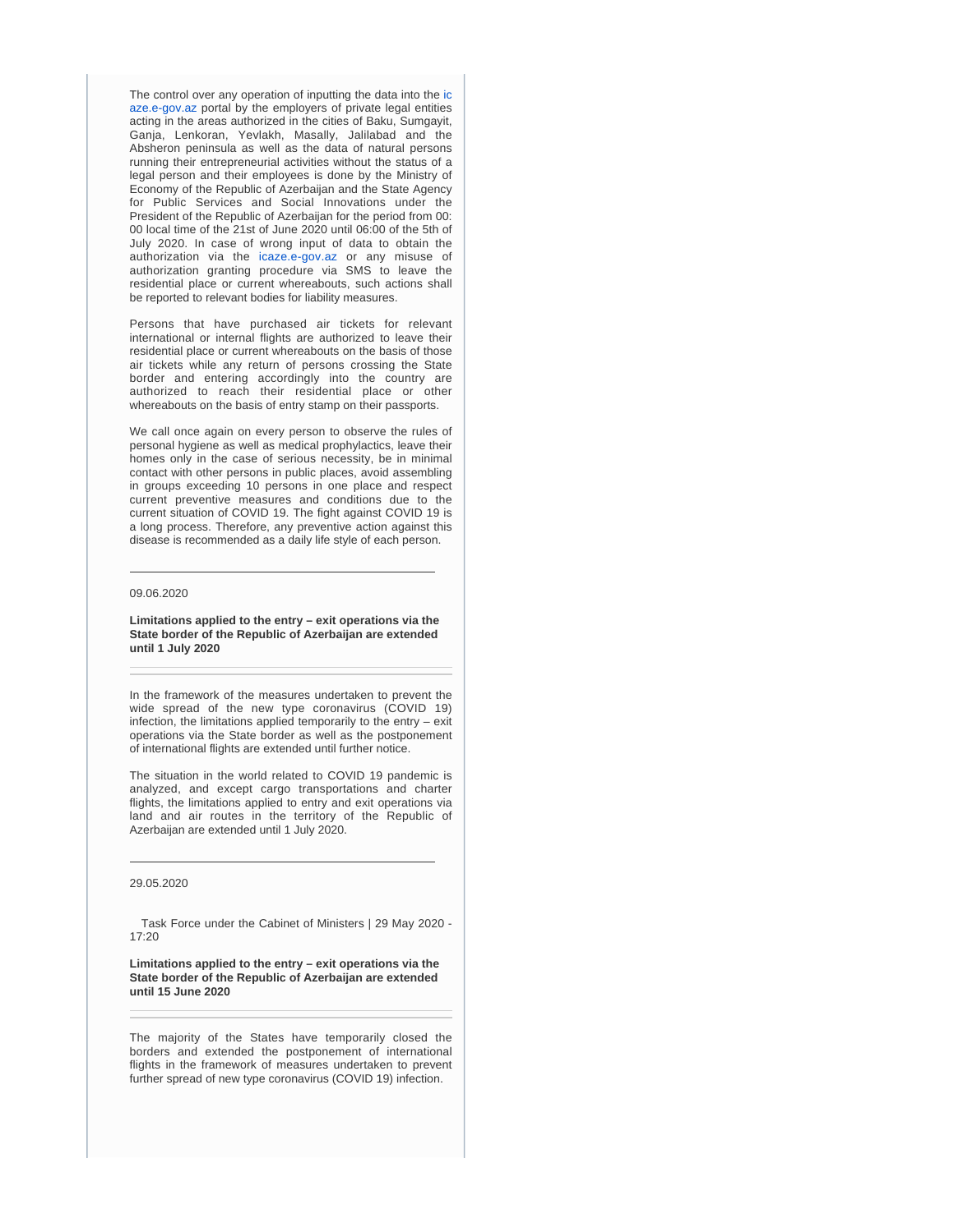The control over any operation of inputting the data into the [ic](http://icaze.e-gov.az) [aze.e-gov.az](http://icaze.e-gov.az) portal by the employers of private legal entities acting in the areas authorized in the cities of Baku, Sumgayit, Ganja, Lenkoran, Yevlakh, Masally, Jalilabad and the Absheron peninsula as well as the data of natural persons running their entrepreneurial activities without the status of a legal person and their employees is done by the Ministry of Economy of the Republic of Azerbaijan and the State Agency for Public Services and Social Innovations under the President of the Republic of Azerbaijan for the period from 00: 00 local time of the 21st of June 2020 until 06:00 of the 5th of July 2020. In case of wrong input of data to obtain the authorization via the [icaze.e-gov.az](http://icaze.e-gov.az) or any misuse of authorization granting procedure via SMS to leave the residential place or current whereabouts, such actions shall be reported to relevant bodies for liability measures.

Persons that have purchased air tickets for relevant international or internal flights are authorized to leave their residential place or current whereabouts on the basis of those air tickets while any return of persons crossing the State border and entering accordingly into the country are authorized to reach their residential place or other whereabouts on the basis of entry stamp on their passports.

We call once again on every person to observe the rules of personal hygiene as well as medical prophylactics, leave their homes only in the case of serious necessity, be in minimal contact with other persons in public places, avoid assembling in groups exceeding 10 persons in one place and respect current preventive measures and conditions due to the current situation of COVID 19. The fight against COVID 19 is a long process. Therefore, any preventive action against this disease is recommended as a daily life style of each person.

#### 09.06.2020

**Limitations applied to the entry – exit operations via the State border of the Republic of Azerbaijan are extended until 1 July 2020** 

In the framework of the measures undertaken to prevent the wide spread of the new type coronavirus (COVID 19) infection, the limitations applied temporarily to the entry – exit operations via the State border as well as the postponement of international flights are extended until further notice.

The situation in the world related to COVID 19 pandemic is analyzed, and except cargo transportations and charter flights, the limitations applied to entry and exit operations via land and air routes in the territory of the Republic of Azerbaijan are extended until 1 July 2020.

#### 29.05.2020

 Task Force under the Cabinet of Ministers | 29 May 2020 - 17:20

**Limitations applied to the entry – exit operations via the State border of the Republic of Azerbaijan are extended until 15 June 2020** 

The majority of the States have temporarily closed the borders and extended the postponement of international flights in the framework of measures undertaken to prevent further spread of new type coronavirus (COVID 19) infection.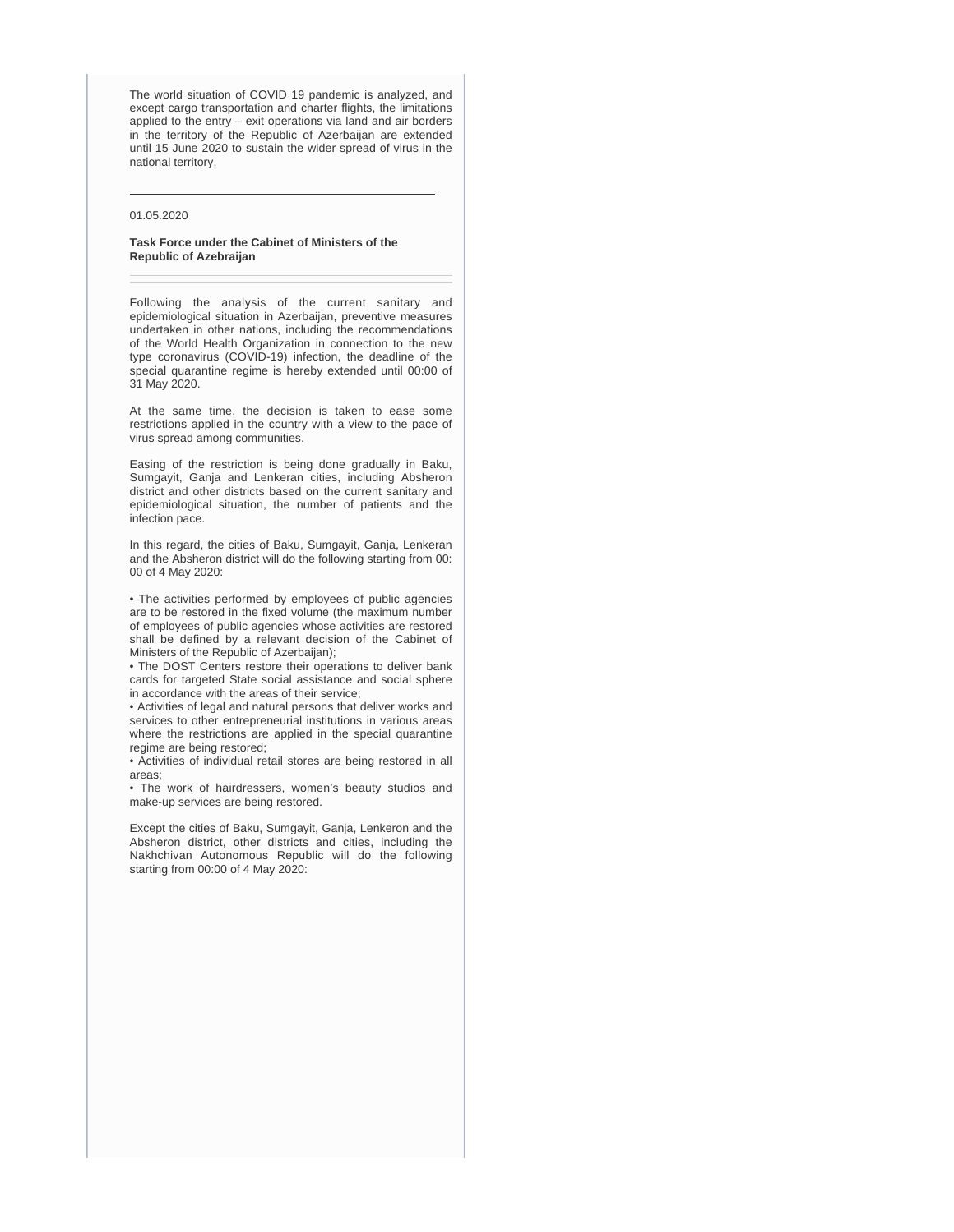The world situation of COVID 19 pandemic is analyzed, and except cargo transportation and charter flights, the limitations applied to the entry – exit operations via land and air borders in the territory of the Republic of Azerbaijan are extended until 15 June 2020 to sustain the wider spread of virus in the national territory.

## 01.05.2020

#### **Task Force under the Cabinet of Ministers of the Republic of Azebraijan**

Following the analysis of the current sanitary and epidemiological situation in Azerbaijan, preventive measures undertaken in other nations, including the recommendations of the World Health Organization in connection to the new type coronavirus (COVID-19) infection, the deadline of the special quarantine regime is hereby extended until 00:00 of 31 May 2020.

At the same time, the decision is taken to ease some restrictions applied in the country with a view to the pace of virus spread among communities.

Easing of the restriction is being done gradually in Baku, Sumgayit, Ganja and Lenkeran cities, including Absheron district and other districts based on the current sanitary and epidemiological situation, the number of patients and the infection pace.

In this regard, the cities of Baku, Sumgayit, Ganja, Lenkeran and the Absheron district will do the following starting from 00: 00 of 4 May 2020:

• The activities performed by employees of public agencies are to be restored in the fixed volume (the maximum number of employees of public agencies whose activities are restored shall be defined by a relevant decision of the Cabinet of Ministers of the Republic of Azerbaijan);

• The DOST Centers restore their operations to deliver bank cards for targeted State social assistance and social sphere in accordance with the areas of their service;

• Activities of legal and natural persons that deliver works and services to other entrepreneurial institutions in various areas where the restrictions are applied in the special quarantine regime are being restored;

• Activities of individual retail stores are being restored in all areas;

• The work of hairdressers, women's beauty studios and make-up services are being restored.

Except the cities of Baku, Sumgayit, Ganja, Lenkeron and the Absheron district, other districts and cities, including the Nakhchivan Autonomous Republic will do the following starting from 00:00 of 4 May 2020: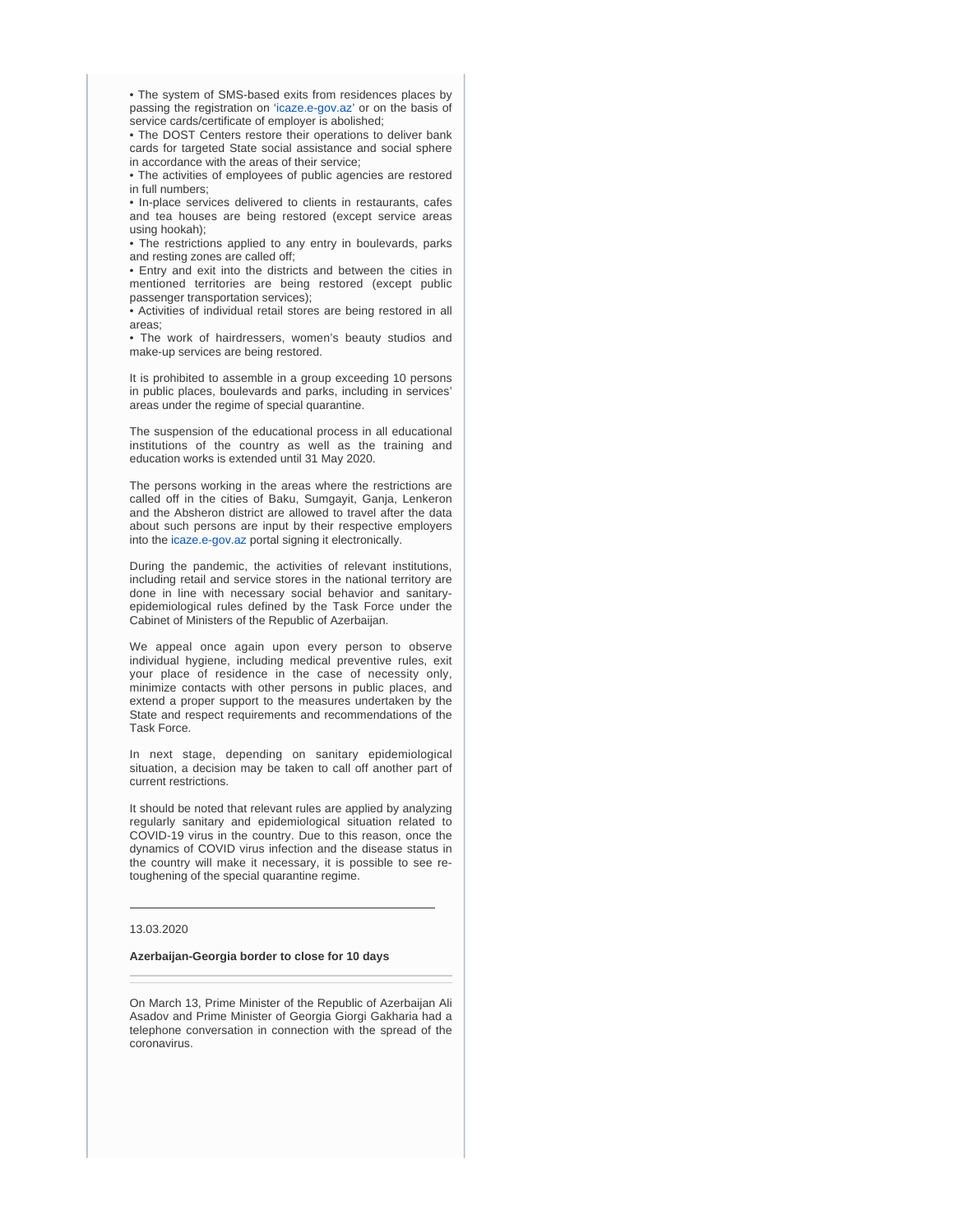• The system of SMS-based exits from residences places by passing the registration on ['icaze.e-gov.az](http://icaze.e-gov.az)' or on the basis of service cards/certificate of employer is abolished;

• The DOST Centers restore their operations to deliver bank cards for targeted State social assistance and social sphere in accordance with the areas of their service;

• The activities of employees of public agencies are restored in full numbers;

• In-place services delivered to clients in restaurants, cafes and tea houses are being restored (except service areas using hookah);

• The restrictions applied to any entry in boulevards, parks and resting zones are called off;

• Entry and exit into the districts and between the cities in mentioned territories are being restored (except public passenger transportation services);

• Activities of individual retail stores are being restored in all areas;

• The work of hairdressers, women's beauty studios and make-up services are being restored.

It is prohibited to assemble in a group exceeding 10 persons in public places, boulevards and parks, including in services' areas under the regime of special quarantine.

The suspension of the educational process in all educational institutions of the country as well as the training and education works is extended until 31 May 2020.

The persons working in the areas where the restrictions are called off in the cities of Baku, Sumgayit, Ganja, Lenkeron and the Absheron district are allowed to travel after the data about such persons are input by their respective employers into the [icaze.e-gov.az](http://icaze.e-gov.az) portal signing it electronically.

During the pandemic, the activities of relevant institutions, including retail and service stores in the national territory are done in line with necessary social behavior and sanitaryepidemiological rules defined by the Task Force under the Cabinet of Ministers of the Republic of Azerbaijan.

We appeal once again upon every person to observe individual hygiene, including medical preventive rules, exit your place of residence in the case of necessity only, minimize contacts with other persons in public places, and extend a proper support to the measures undertaken by the State and respect requirements and recommendations of the Task Force.

In next stage, depending on sanitary epidemiological situation, a decision may be taken to call off another part of current restrictions.

It should be noted that relevant rules are applied by analyzing regularly sanitary and epidemiological situation related to COVID-19 virus in the country. Due to this reason, once the dynamics of COVID virus infection and the disease status in the country will make it necessary, it is possible to see retoughening of the special quarantine regime.

#### 13.03.2020

#### **Azerbaijan-Georgia border to close for 10 days**

On March 13, Prime Minister of the Republic of Azerbaijan Ali Asadov and Prime Minister of Georgia Giorgi Gakharia had a telephone conversation in connection with the spread of the coronavirus.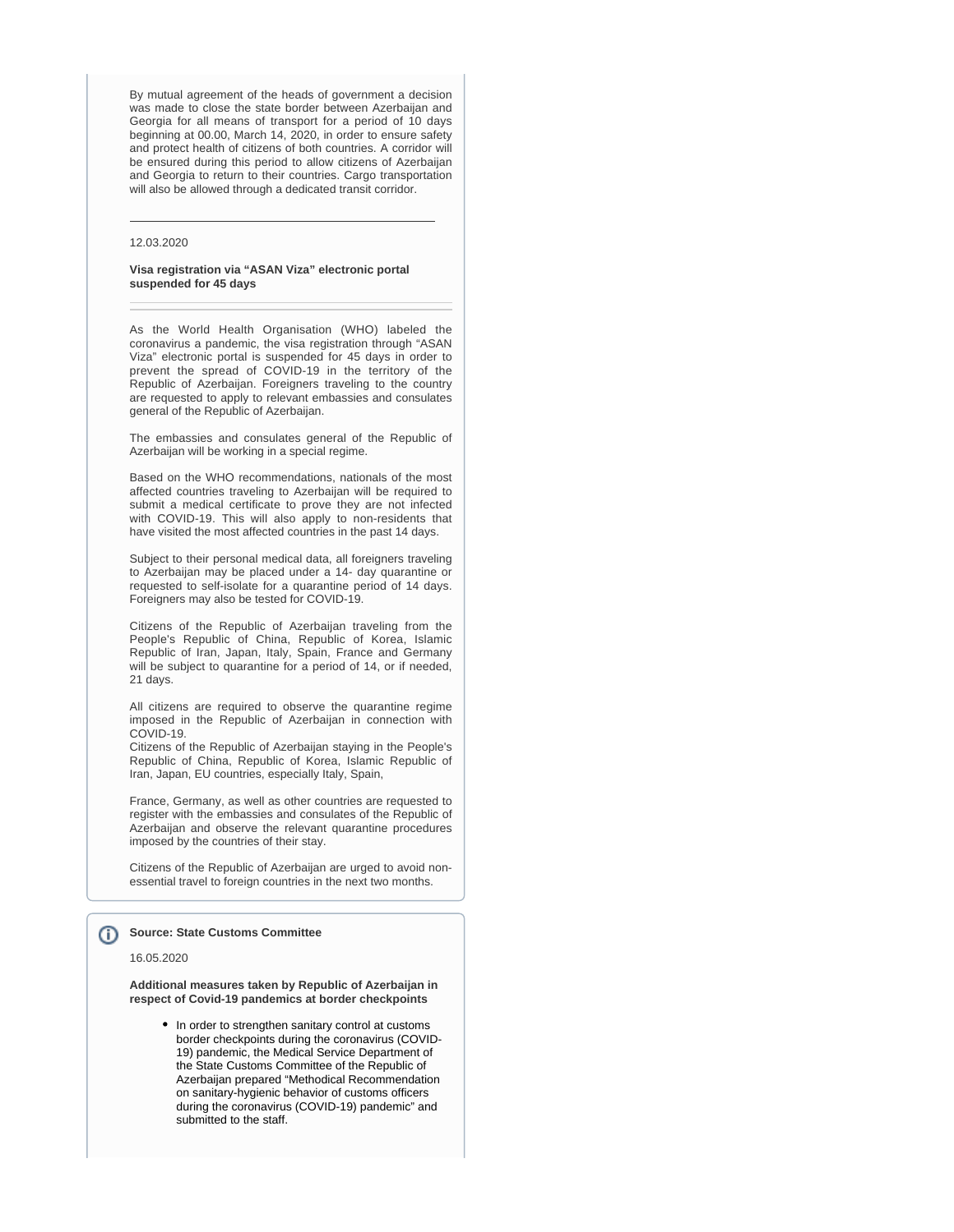By mutual agreement of the heads of government a decision was made to close the state border between Azerbaijan and Georgia for all means of transport for a period of 10 days beginning at 00.00, March 14, 2020, in order to ensure safety and protect health of citizens of both countries. A corridor will be ensured during this period to allow citizens of Azerbaijan and Georgia to return to their countries. Cargo transportation will also be allowed through a dedicated transit corridor.

#### 12.03.2020

#### **Visa registration via "ASAN Viza" electronic portal suspended for 45 days**

As the World Health Organisation (WHO) labeled the coronavirus a pandemic, the visa registration through "ASAN Viza" electronic portal is suspended for 45 days in order to prevent the spread of COVID-19 in the territory of the Republic of Azerbaijan. Foreigners traveling to the country are requested to apply to relevant embassies and consulates general of the Republic of Azerbaijan.

The embassies and consulates general of the Republic of Azerbaijan will be working in a special regime.

Based on the WHO recommendations, nationals of the most affected countries traveling to Azerbaijan will be required to submit a medical certificate to prove they are not infected with COVID-19. This will also apply to non-residents that have visited the most affected countries in the past 14 days.

Subject to their personal medical data, all foreigners traveling to Azerbaijan may be placed under a 14- day quarantine or requested to self-isolate for a quarantine period of 14 days. Foreigners may also be tested for COVID-19.

Citizens of the Republic of Azerbaijan traveling from the People's Republic of China, Republic of Korea, Islamic Republic of Iran, Japan, Italy, Spain, France and Germany will be subject to quarantine for a period of 14, or if needed, 21 days.

All citizens are required to observe the quarantine regime imposed in the Republic of Azerbaijan in connection with COVID-19.

Citizens of the Republic of Azerbaijan staying in the People's Republic of China, Republic of Korea, Islamic Republic of Iran, Japan, EU countries, especially Italy, Spain,

France, Germany, as well as other countries are requested to register with the embassies and consulates of the Republic of Azerbaijan and observe the relevant quarantine procedures imposed by the countries of their stay.

Citizens of the Republic of Azerbaijan are urged to avoid nonessential travel to foreign countries in the next two months.

#### **Source: State Customs Committee** G)

#### 16.05.2020

**Additional measures taken by Republic of Azerbaijan in respect of Covid-19 pandemics at border checkpoints**

• In order to strengthen sanitary control at customs border checkpoints during the coronavirus (COVID-19) pandemic, the Medical Service Department of the State Customs Committee of the Republic of Azerbaijan prepared "Methodical Recommendation on sanitary-hygienic behavior of customs officers during the coronavirus (COVID-19) pandemic" and submitted to the staff.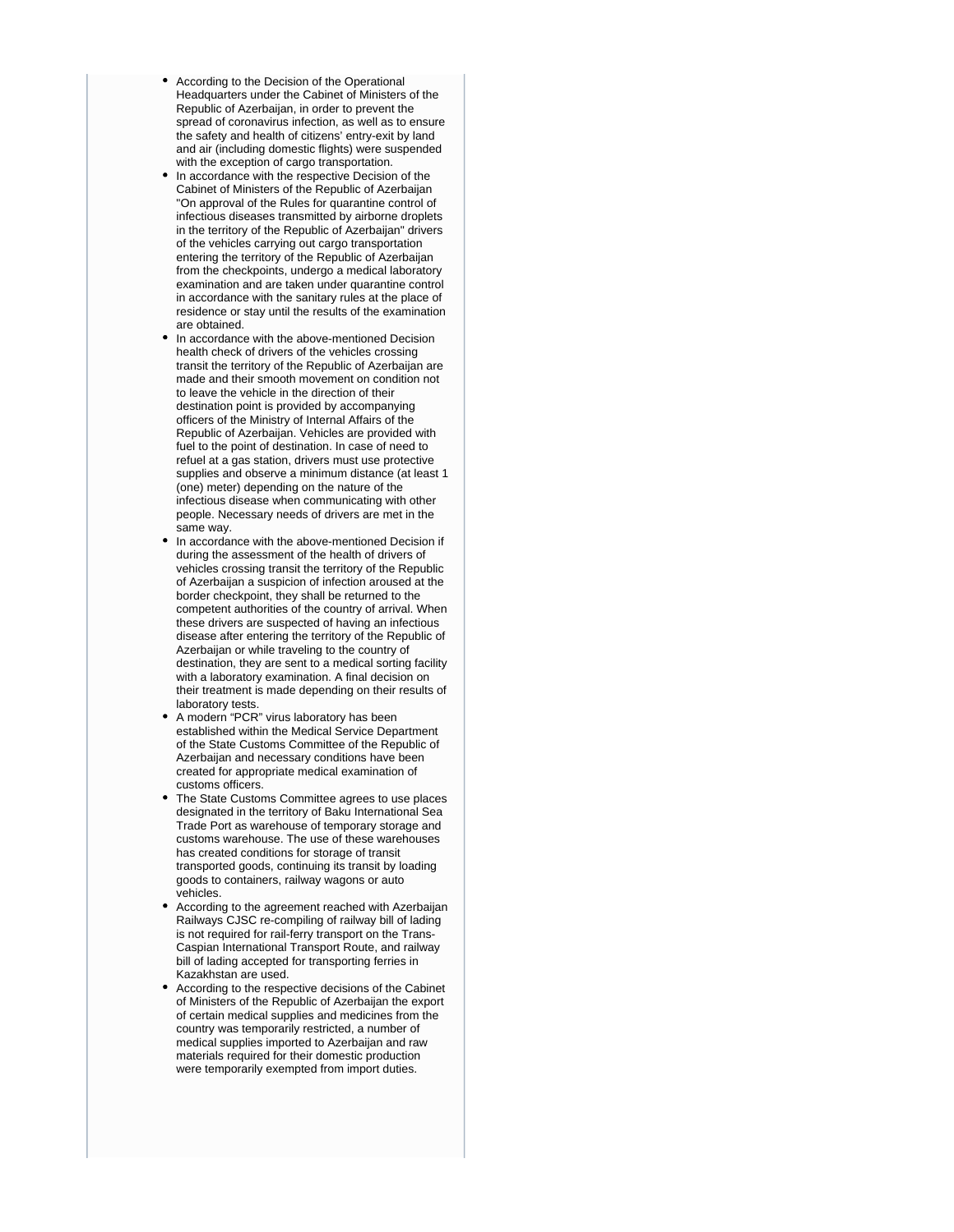- According to the Decision of the Operational Headquarters under the Cabinet of Ministers of the Republic of Azerbaijan, in order to prevent the spread of coronavirus infection, as well as to ensure the safety and health of citizens' entry-exit by land and air (including domestic flights) were suspended with the exception of cargo transportation.
- In accordance with the respective Decision of the Cabinet of Ministers of the Republic of Azerbaijan "On approval of the Rules for quarantine control of infectious diseases transmitted by airborne droplets in the territory of the Republic of Azerbaijan" drivers of the vehicles carrying out cargo transportation entering the territory of the Republic of Azerbaijan from the checkpoints, undergo a medical laboratory examination and are taken under quarantine control in accordance with the sanitary rules at the place of residence or stay until the results of the examination are obtained.
- In accordance with the above-mentioned Decision health check of drivers of the vehicles crossing transit the territory of the Republic of Azerbaijan are made and their smooth movement on condition not to leave the vehicle in the direction of their destination point is provided by accompanying officers of the Ministry of Internal Affairs of the Republic of Azerbaijan. Vehicles are provided with fuel to the point of destination. In case of need to refuel at a gas station, drivers must use protective supplies and observe a minimum distance (at least 1 (one) meter) depending on the nature of the infectious disease when communicating with other people. Necessary needs of drivers are met in the same way.
- In accordance with the above-mentioned Decision if during the assessment of the health of drivers of vehicles crossing transit the territory of the Republic of Azerbaijan a suspicion of infection aroused at the border checkpoint, they shall be returned to the competent authorities of the country of arrival. When these drivers are suspected of having an infectious disease after entering the territory of the Republic of Azerbaijan or while traveling to the country of destination, they are sent to a medical sorting facility with a laboratory examination. A final decision on their treatment is made depending on their results of laboratory tests.
- A modern "PCR" virus laboratory has been established within the Medical Service Department of the State Customs Committee of the Republic of Azerbaijan and necessary conditions have been created for appropriate medical examination of customs officers.
- The State Customs Committee agrees to use places designated in the territory of Baku International Sea Trade Port as warehouse of temporary storage and customs warehouse. The use of these warehouses has created conditions for storage of transit transported goods, continuing its transit by loading goods to containers, railway wagons or auto vehicles.
- According to the agreement reached with Azerbaijan Railways CJSC re-compiling of railway bill of lading is not required for rail-ferry transport on the Trans-Caspian International Transport Route, and railway bill of lading accepted for transporting ferries in Kazakhstan are used.
- $\bullet$ According to the respective decisions of the Cabinet of Ministers of the Republic of Azerbaijan the export of certain medical supplies and medicines from the country was temporarily restricted, a number of medical supplies imported to Azerbaijan and raw materials required for their domestic production were temporarily exempted from import duties.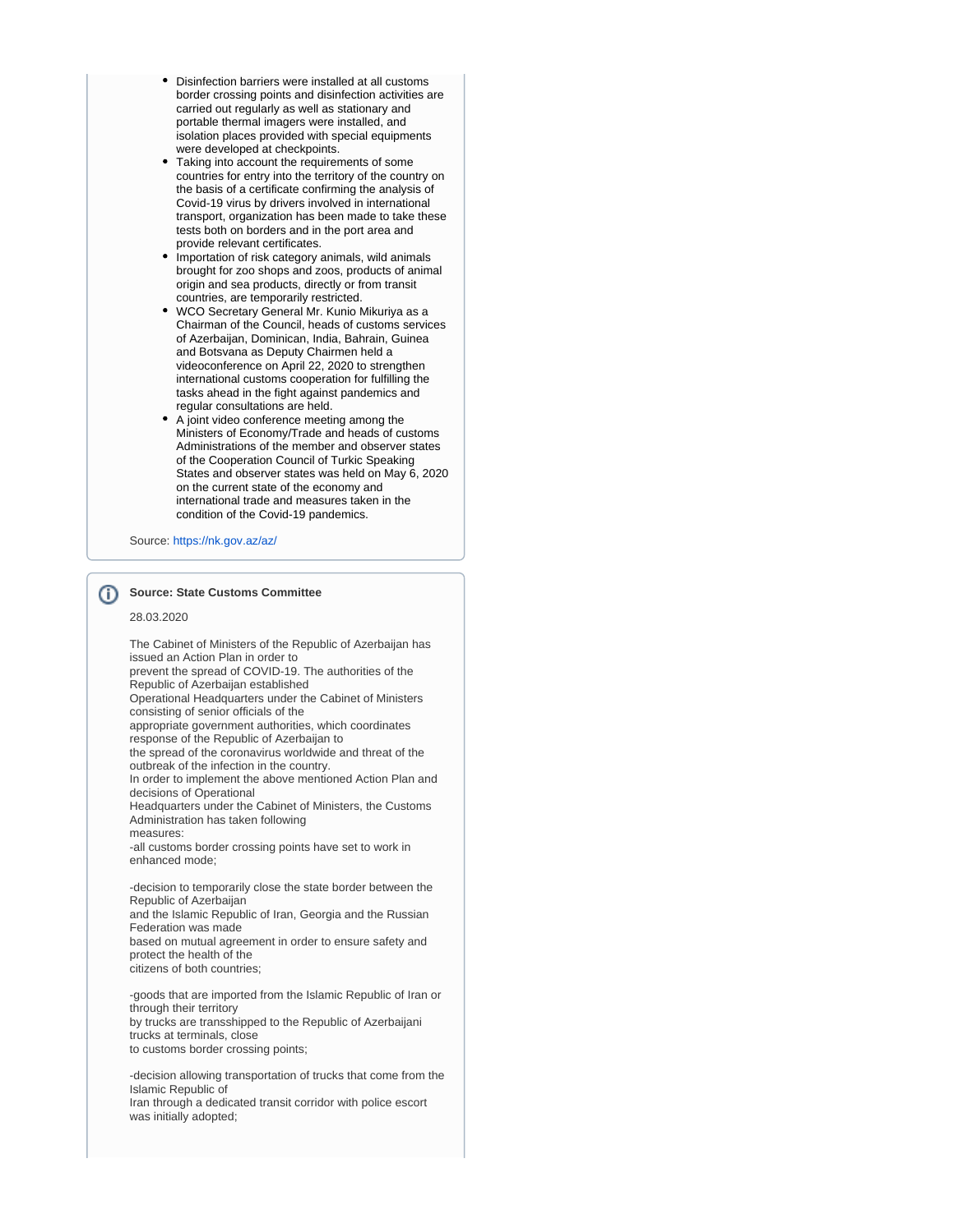- Disinfection barriers were installed at all customs border crossing points and disinfection activities are carried out regularly as well as stationary and portable thermal imagers were installed, and isolation places provided with special equipments were developed at checkpoints.
- Taking into account the requirements of some countries for entry into the territory of the country on the basis of a certificate confirming the analysis of Covid-19 virus by drivers involved in international transport, organization has been made to take these tests both on borders and in the port area and provide relevant certificates.
- Importation of risk category animals, wild animals brought for zoo shops and zoos, products of animal origin and sea products, directly or from transit countries, are temporarily restricted.
- WCO Secretary General Mr. Kunio Mikuriya as a Chairman of the Council, heads of customs services of Azerbaijan, Dominican, India, Bahrain, Guinea and Botsvana as Deputy Chairmen held a videoconference on April 22, 2020 to strengthen international customs cooperation for fulfilling the tasks ahead in the fight against pandemics and regular consultations are held.
- A joint video conference meeting among the Ministers of Economy/Trade and heads of customs Administrations of the member and observer states of the Cooperation Council of Turkic Speaking States and observer states was held on May 6, 2020 on the current state of the economy and international trade and measures taken in the condition of the Covid-19 pandemics.

Source:<https://nk.gov.az/az/>

# **Source: State Customs Committee**

#### 28.03.2020

The Cabinet of Ministers of the Republic of Azerbaijan has issued an Action Plan in order to prevent the spread of COVID-19. The authorities of the Republic of Azerbaijan established Operational Headquarters under the Cabinet of Ministers consisting of senior officials of the appropriate government authorities, which coordinates response of the Republic of Azerbaijan to the spread of the coronavirus worldwide and threat of the outbreak of the infection in the country. In order to implement the above mentioned Action Plan and decisions of Operational Headquarters under the Cabinet of Ministers, the Customs Administration has taken following measures: -all customs border crossing points have set to work in enhanced mode; -decision to temporarily close the state border between the Republic of Azerbaijan and the Islamic Republic of Iran, Georgia and the Russian Federation was made based on mutual agreement in order to ensure safety and protect the health of the citizens of both countries; -goods that are imported from the Islamic Republic of Iran or through their territory by trucks are transshipped to the Republic of Azerbaijani trucks at terminals, close to customs border crossing points;

-decision allowing transportation of trucks that come from the Islamic Republic of Iran through a dedicated transit corridor with police escort was initially adopted;